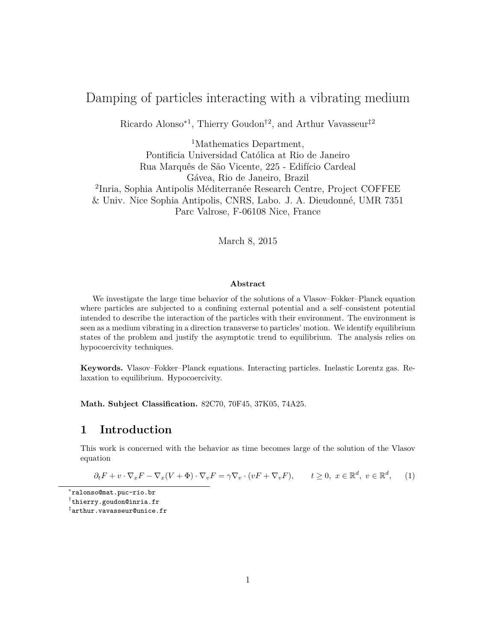# Damping of particles interacting with a vibrating medium

Ricardo Alonso<sup>\*1</sup>, Thierry Goudon<sup>†2</sup>, and Arthur Vavasseur<sup>‡2</sup>

<sup>1</sup>Mathematics Department, Pontificia Universidad Católica at Rio de Janeiro Rua Marquês de São Vicente, 225 - Edifício Cardeal Gávea, Rio de Janeiro, Brazil <sup>2</sup>Inria, Sophia Antipolis Méditerranée Research Centre, Project COFFEE & Univ. Nice Sophia Antipolis, CNRS, Labo. J. A. Dieudonné, UMR 7351 Parc Valrose, F-06108 Nice, France

March 8, 2015

#### **Abstract**

We investigate the large time behavior of the solutions of a Vlasov–Fokker–Planck equation where particles are subjected to a confining external potential and a self–consistent potential intended to describe the interaction of the particles with their environment. The environment is seen as a medium vibrating in a direction transverse to particles' motion. We identify equilibrium states of the problem and justify the asymptotic trend to equilibrium. The analysis relies on hypocoercivity techniques.

**Keywords.** Vlasov–Fokker–Planck equations. Interacting particles. Inelastic Lorentz gas. Relaxation to equilibrium. Hypocoercivity.

**Math. Subject Classification.** 82C70, 70F45, 37K05, 74A25.

### **1 Introduction**

This work is concerned with the behavior as time becomes large of the solution of the Vlasov equation

$$
\partial_t F + v \cdot \nabla_x F - \nabla_x (V + \Phi) \cdot \nabla_v F = \gamma \nabla_v \cdot (vF + \nabla_v F), \qquad t \ge 0, \ x \in \mathbb{R}^d, \ v \in \mathbb{R}^d, \tag{1}
$$

<sup>∗</sup> ralonso@mat.puc-rio.br

<sup>†</sup> thierry.goudon@inria.fr

<sup>‡</sup> arthur.vavasseur@unice.fr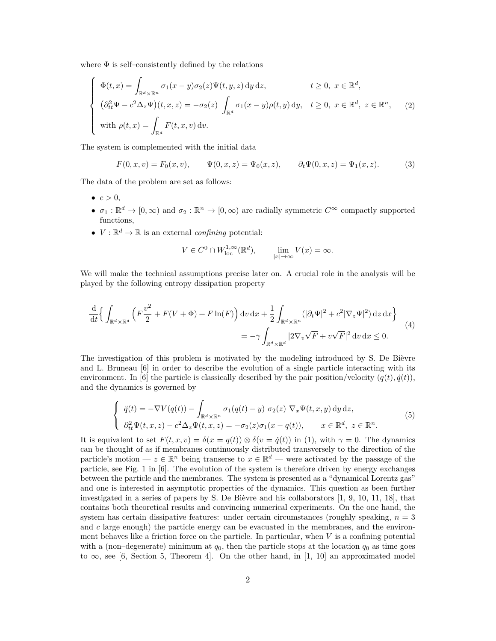where  $\Phi$  is self–consistently defined by the relations

$$
\begin{cases}\n\Phi(t,x) = \int_{\mathbb{R}^d \times \mathbb{R}^n} \sigma_1(x-y)\sigma_2(z)\Psi(t,y,z) \,dy \,dz, & t \ge 0, \ x \in \mathbb{R}^d, \\
(\partial_{tt}^2 \Psi - c^2 \Delta_z \Psi)(t,x,z) = -\sigma_2(z) \int_{\mathbb{R}^d} \sigma_1(x-y)\rho(t,y) \,dy, & t \ge 0, \ x \in \mathbb{R}^d, \ z \in \mathbb{R}^n,\n\end{cases}
$$
\n(2)

\nwith  $\rho(t,x) = \int_{\mathbb{R}^d} F(t,x,v) \,dv$ .

The system is complemented with the initial data

$$
F(0, x, v) = F_0(x, v), \qquad \Psi(0, x, z) = \Psi_0(x, z), \qquad \partial_t \Psi(0, x, z) = \Psi_1(x, z).
$$
 (3)

The data of the problem are set as follows:

- $c > 0$ .
- $\sigma_1 : \mathbb{R}^d \to [0, \infty)$  and  $\sigma_2 : \mathbb{R}^n \to [0, \infty)$  are radially symmetric  $C^{\infty}$  compactly supported functions,
- $V : \mathbb{R}^d \to \mathbb{R}$  is an external *confining* potential:

$$
V \in C^0 \cap W^{1,\infty}_{loc}(\mathbb{R}^d), \qquad \lim_{|x| \to \infty} V(x) = \infty.
$$

We will make the technical assumptions precise later on. A crucial role in the analysis will be played by the following entropy dissipation property

$$
\frac{\mathrm{d}}{\mathrm{d}t} \Big\{ \int_{\mathbb{R}^d \times \mathbb{R}^d} \left( F \frac{v^2}{2} + F(V + \Phi) + F \ln(F) \right) \mathrm{d}v \, \mathrm{d}x + \frac{1}{2} \int_{\mathbb{R}^d \times \mathbb{R}^n} (|\partial_t \Psi|^2 + c^2 |\nabla_z \Psi|^2) \, \mathrm{d}z \, \mathrm{d}x \Big\} \Big\}
$$
\n
$$
= -\gamma \int_{\mathbb{R}^d \times \mathbb{R}^d} |2\nabla_v \sqrt{F} + v\sqrt{F}|^2 \, \mathrm{d}v \, \mathrm{d}x \le 0. \tag{4}
$$

The investigation of this problem is motivated by the modeling introduced by S. De Bièvre and L. Bruneau [6] in order to describe the evolution of a single particle interacting with its environment. In [6] the particle is classically described by the pair position/velocity  $(q(t), \dot{q}(t))$ , and the dynamics is governed by

$$
\begin{cases}\n\ddot{q}(t) = -\nabla V(q(t)) - \int_{\mathbb{R}^d \times \mathbb{R}^n} \sigma_1(q(t) - y) \sigma_2(z) \nabla_x \Psi(t, x, y) \, dy \, dz, \\
\partial_{tt}^2 \Psi(t, x, z) - c^2 \Delta_z \Psi(t, x, z) = -\sigma_2(z) \sigma_1(x - q(t)), \qquad x \in \mathbb{R}^d, \ z \in \mathbb{R}^n.\n\end{cases} \tag{5}
$$

It is equivalent to set  $F(t, x, v) = \delta(x = q(t)) \otimes \delta(v = \dot{q}(t))$  in (1), with  $\gamma = 0$ . The dynamics can be thought of as if membranes continuously distributed transversely to the direction of the particle's motion  $-z \in \mathbb{R}^n$  being transerse to  $x \in \mathbb{R}^d$  — were activated by the passage of the particle, see Fig. 1 in  $[6]$ . The evolution of the system is therefore driven by energy exchanges between the particle and the membranes. The system is presented as a "dynamical Lorentz gas" and one is interested in asymptotic properties of the dynamics. This question as been further investigated in a series of papers by S. De Bièvre and his collaborators [1, 9, 10, 11, 18], that contains both theoretical results and convincing numerical experiments. On the one hand, the system has certain dissipative features: under certain circumstances (roughly speaking,  $n = 3$ ) and *c* large enough) the particle energy can be evacuated in the membranes, and the environment behaves like a friction force on the particle. In particular, when *V* is a confining potential with a (non–degenerate) minimum at  $q_0$ , then the particle stops at the location  $q_0$  as time goes to  $\infty$ , see [6, Section 5, Theorem 4]. On the other hand, in [1, 10] an approximated model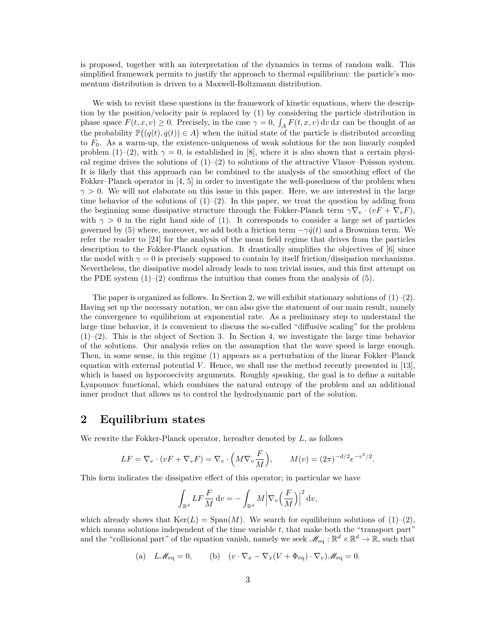is proposed, together with an interpretation of the dynamics in terms of random walk. This simplified framework permits to justify the approach to thermal equilibrium: the particle's momentum distribution is driven to a Maxwell-Boltzmann distribution.

We wish to revisit these questions in the framework of kinetic equations, where the description by the position/velocity pair is replaced by (1) by considering the particle distribution in phase space  $F(t, x, v) \ge 0$ . Precisely, in the case  $\gamma = 0$ ,  $\int_A F(t, x, v) dv dx$  can be thought of as the probability  $\mathbb{P}((q(t), \dot{q}(t)) \in A)$  when the initial state of the particle is distributed according to *F*0. As a warm-up, the existence-uniqueness of weak solutions for the non linearly coupled problem (1)–(2), with  $\gamma = 0$ , is established in [8], where it is also shown that a certain physical regime drives the solutions of  $(1)$ – $(2)$  to solutions of the attractive Vlasov–Poisson system. It is likely that this approach can be combined to the analysis of the smoothing effect of the Fokker–Planck operator in [4, 5] in order to investigate the well-posedness of the problem when  $\gamma > 0$ . We will not elaborate on this issue in this paper. Here, we are interested in the large time behavior of the solutions of  $(1)-(2)$ . In this paper, we treat the question by adding from the beginning some dissipative structure through the Fokker-Planck term  $\gamma \nabla_v \cdot (vF + \nabla_v F)$ , with  $\gamma > 0$  in the right hand side of (1). It corresponds to consider a large set of particles governed by (5) where, moreover, we add both a friction term  $-\gamma \dot{q}(t)$  and a Brownian term. We refer the reader to [24] for the analysis of the mean field regime that drives from the particles description to the Fokker-Planck equation. It drastically simplifies the objectives of [6] since the model with  $\gamma = 0$  is precisely supposed to contain by itself friction/dissipation mechanisms. Nevertheless, the dissipative model already leads to non trivial issues, and this first attempt on the PDE system  $(1)$ – $(2)$  confirms the intuition that comes from the analysis of  $(5)$ .

The paper is organized as follows. In Section 2, we will exhibit stationary solutions of  $(1)-(2)$ . Having set up the necessary notation, we can also give the statement of our main result, namely the convergence to equilibrium at exponential rate. As a preliminary step to understand the large time behavior, it is convenient to discuss the so-called "diffusive scaling" for the problem  $(1)$ – $(2)$ . This is the object of Section 3. In Section 4, we investigate the large time behavior of the solutions. Our analysis relies on the assumption that the wave speed is large enough. Then, in some sense, in this regime (1) appears as a perturbation of the linear Fokker–Planck equation with external potential  $V$ . Hence, we shall use the method recently presented in [13], which is based on hypocoecivity arguments. Roughly speaking, the goal is to define a suitable Lyapounov functional, which combines the natural entropy of the problem and an additional inner product that allows us to control the hydrodynamic part of the solution.

## **2 Equilibrium states**

We rewrite the Fokker-Planck operator, hereafter denoted by *L*, as follows

$$
LF = \nabla_v \cdot (vF + \nabla_v F) = \nabla_v \cdot \left( M \nabla_v \frac{F}{M} \right), \qquad M(v) = (2\pi)^{-d/2} e^{-v^2/2}.
$$

This form indicates the dissipative effect of this operator; in particular we have

$$
\int_{\mathbb{R}^d} LF \frac{F}{M} dv = - \int_{\mathbb{R}^d} M \left| \nabla_v \left( \frac{F}{M} \right) \right|^2 dv,
$$

which already shows that  $\text{Ker}(L) = \text{Span}(M)$ . We search for equilibrium solutions of  $(1)-(2)$ , which means solutions independent of the time variable *t*, that make both the "transport part" and the "collisional part" of the equation vanish, namely we seek  $\mathscr{M}_{eq} : \mathbb{R}^d \times \mathbb{R}^d \to \mathbb{R}$ , such that

(a) 
$$
L M_{eq} = 0
$$
, (b)  $(v \cdot \nabla_x - \nabla_x (V + \Phi_{eq}) \cdot \nabla_v) M_{eq} = 0$ .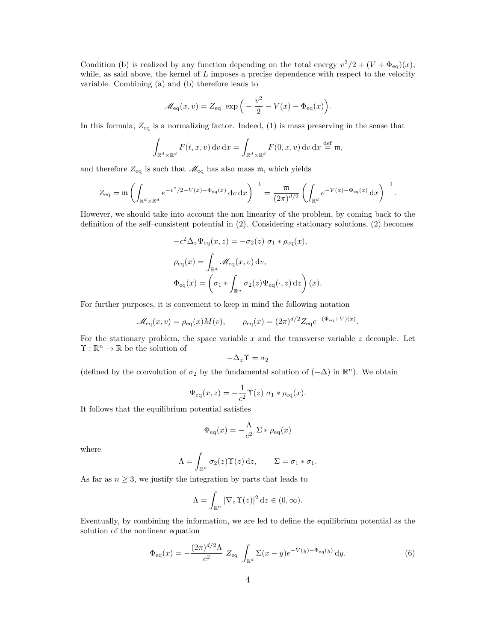Condition (b) is realized by any function depending on the total energy  $v^2/2 + (V + \Phi_{eq})(x)$ , while, as said above, the kernel of *L* imposes a precise dependence with respect to the velocity variable. Combining (a) and (b) therefore leads to

$$
\mathscr{M}_{\text{eq}}(x,v) = Z_{\text{eq}} \exp\left(-\frac{v^2}{2} - V(x) - \Phi_{\text{eq}}(x)\right).
$$

In this formula,  $Z_{eq}$  is a normalizing factor. Indeed, (1) is mass preserving in the sense that

$$
\int_{\mathbb{R}^d \times \mathbb{R}^d} F(t, x, v) dv dx = \int_{\mathbb{R}^d \times \mathbb{R}^d} F(0, x, v) dv dx \stackrel{\text{def}}{=} \mathfrak{m},
$$

and therefore  $Z_{eq}$  is such that  $\mathcal{M}_{eq}$  has also mass  $\mathfrak{m}$ , which yields

$$
Z_{\text{eq}} = \mathfrak{m} \left( \int_{\mathbb{R}^d \times \mathbb{R}^d} e^{-v^2/2 - V(x) - \Phi_{\text{eq}}(x)} \, \mathrm{d}v \, \mathrm{d}x \right)^{-1} = \frac{\mathfrak{m}}{(2\pi)^{d/2}} \left( \int_{\mathbb{R}^d} e^{-V(x) - \Phi_{\text{eq}}(x)} \, \mathrm{d}x \right)^{-1}.
$$

However, we should take into account the non linearity of the problem, by coming back to the definition of the self–consistent potential in (2). Considering stationary solutions, (2) becomes

$$
-c^2 \Delta_z \Psi_{\text{eq}}(x, z) = -\sigma_2(z) \sigma_1 * \rho_{\text{eq}}(x),
$$
  

$$
\rho_{\text{eq}}(x) = \int_{\mathbb{R}^d} \mathcal{M}_{\text{eq}}(x, v) dv,
$$
  

$$
\Phi_{\text{eq}}(x) = \left(\sigma_1 * \int_{\mathbb{R}^n} \sigma_2(z) \Psi_{\text{eq}}(\cdot, z) dz\right)(x).
$$

For further purposes, it is convenient to keep in mind the following notation

$$
\mathcal{M}_{\text{eq}}(x,v) = \rho_{\text{eq}}(x)M(v), \qquad \rho_{\text{eq}}(x) = (2\pi)^{d/2} Z_{\text{eq}} e^{-(\Phi_{\text{eq}}+V)(x)}.
$$

For the stationary problem, the space variable *x* and the transverse variable *z* decouple. Let  $\Upsilon : \mathbb{R}^n \to \mathbb{R}$  be the solution of

$$
-\Delta_z \Upsilon = \sigma_2
$$

(defined by the convolution of  $\sigma_2$  by the fundamental solution of  $(-\Delta)$  in  $\mathbb{R}^n$ ). We obtain

$$
\Psi_{\rm eq}(x,z)=-\frac{1}{c^2}\Upsilon(z)\ \sigma_1*\rho_{\rm eq}(x).
$$

It follows that the equilibrium potential satisfies

$$
\Phi_{\text{eq}}(x) = -\frac{\Lambda}{c^2} \Sigma * \rho_{\text{eq}}(x)
$$

where

$$
\Lambda = \int_{\mathbb{R}^n} \sigma_2(z) \Upsilon(z) dz, \qquad \Sigma = \sigma_1 * \sigma_1.
$$

As far as  $n \geq 3$ , we justify the integration by parts that leads to

$$
\Lambda = \int_{\mathbb{R}^n} |\nabla_z \Upsilon(z)|^2 \, \mathrm{d}z \in (0, \infty).
$$

Eventually, by combining the information, we are led to define the equilibrium potential as the solution of the nonlinear equation

$$
\Phi_{\text{eq}}(x) = -\frac{(2\pi)^{d/2}\Lambda}{c^2} Z_{\text{eq}} \int_{\mathbb{R}^d} \Sigma(x - y) e^{-V(y) - \Phi_{\text{eq}}(y)} \, dy. \tag{6}
$$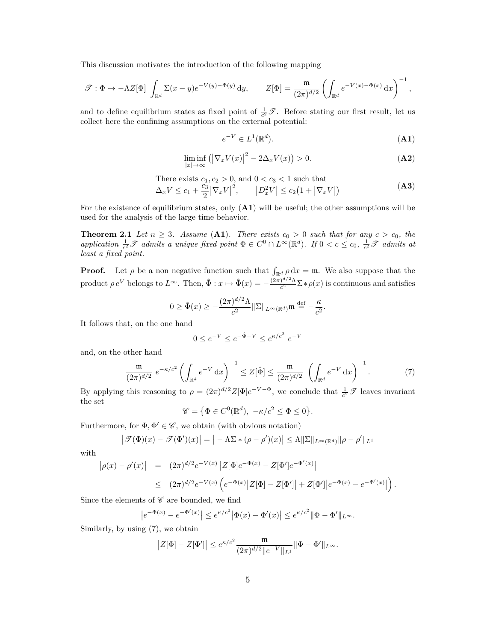This discussion motivates the introduction of the following mapping

$$
\mathscr{T} : \Phi \mapsto -\Lambda Z[\Phi] \int_{\mathbb{R}^d} \Sigma(x-y) e^{-V(y) - \Phi(y)} dy, \qquad Z[\Phi] = \frac{\mathfrak{m}}{(2\pi)^{d/2}} \left( \int_{\mathbb{R}^d} e^{-V(x) - \Phi(x)} dx \right)^{-1},
$$

and to define equilibrium states as fixed point of  $\frac{1}{c^2}\mathscr{T}$ . Before stating our first result, let us collect here the confining assumptions on the external potential:

$$
e^{-V} \in L^1(\mathbb{R}^d). \tag{A1}
$$

$$
\liminf_{|x| \to \infty} (|\nabla_x V(x)|^2 - 2\Delta_x V(x)) > 0.
$$
 (A2)

There exists 
$$
c_1, c_2 > 0
$$
, and  $0 < c_3 < 1$  such that  
\n
$$
\Delta_x V \le c_1 + \frac{c_3}{2} |\nabla_x V|^2, \qquad |D_x^2 V| \le c_2 (1 + |\nabla_x V|)
$$
\n(A3)

For the existence of equilibrium states, only (**A1**) will be useful; the other assumptions will be used for the analysis of the large time behavior.

**Theorem 2.1** *Let*  $n \geq 3$ *. Assume* (A1)*. There exists*  $c_0 > 0$  *such that for any*  $c > c_0$ *, the*  $a$  *application*  $\frac{1}{c^2}$   $\mathscr T$  *admits a unique fixed point*  $\Phi \in C^0 \cap L^\infty(\mathbb{R}^d)$ *. If*  $0 < c \leq c_0$ ,  $\frac{1}{c^2}$   $\mathscr T$  *admits at least a fixed point.*

**Proof.** Let  $\rho$  be a non negative function such that  $\int_{\mathbb{R}^d} \rho \, dx = \mathfrak{m}$ . We also suppose that the product  $\rho e^V$  belongs to  $L^{\infty}$ . Then,  $\hat{\Phi}: x \mapsto \hat{\Phi}(x) = -\frac{(2\pi)^{d/2}\Lambda}{c^2}$  $\frac{C^2}{c^2}$   $\sum$   $\ast$   $\rho(x)$  is continuous and satisfies

$$
0 \geq \hat{\Phi}(x) \geq -\frac{(2\pi)^{d/2}\Lambda}{c^2} \|\Sigma\|_{L^{\infty}(\mathbb{R}^d)} \mathfrak{m} \stackrel{\text{def}}{=} -\frac{\kappa}{c^2}.
$$

It follows that, on the one hand

$$
0 \le e^{-V} \le e^{-\hat{\Phi} - V} \le e^{\kappa/c^2} e^{-V}
$$

and, on the other hand

$$
\frac{\mathfrak{m}}{(2\pi)^{d/2}} e^{-\kappa/c^2} \left( \int_{\mathbb{R}^d} e^{-V} dx \right)^{-1} \le Z[\hat{\Phi}] \le \frac{\mathfrak{m}}{(2\pi)^{d/2}} \left( \int_{\mathbb{R}^d} e^{-V} dx \right)^{-1}.
$$
 (7)

By applying this reasoning to  $\rho = (2\pi)^{d/2} Z[\Phi]e^{-V-\Phi}$ , we conclude that  $\frac{1}{c^2} \mathscr{T}$  leaves invariant the set

$$
\mathscr{C} = \left\{ \Phi \in C^0(\mathbb{R}^d), -\kappa/c^2 \le \Phi \le 0 \right\}.
$$

Furthermore, for  $\Phi, \Phi' \in \mathscr{C}$ , we obtain (with obvious notation)

$$
\left| \mathcal{T}(\Phi)(x) - \mathcal{T}(\Phi')(x) \right| = \left| -\Lambda \Sigma \ast (\rho - \rho')(x) \right| \leq \Lambda \|\Sigma\|_{L^{\infty}(\mathbb{R}^d)} \|\rho - \rho'\|_{L^1}
$$

with

$$
\begin{array}{rcl}\n|\rho(x)-\rho'(x)| & = & (2\pi)^{d/2}e^{-V(x)}\left|Z[\Phi]e^{-\Phi(x)} - Z[\Phi']e^{-\Phi'(x)}\right| \\
& \leq & (2\pi)^{d/2}e^{-V(x)}\left(e^{-\Phi(x)}\left|Z[\Phi] - Z[\Phi']\right| + Z[\Phi']\left|e^{-\Phi(x)} - e^{-\Phi'(x)}\right|\right).\n\end{array}
$$

Since the elements of  $\mathscr C$  are bounded, we find

$$
\left|e^{-\Phi(x)}-e^{-\Phi'(x)}\right|\leq e^{\kappa/c^2}\left|\Phi(x)-\Phi'(x)\right|\leq e^{\kappa/c^2}\|\Phi-\Phi'\|_{L^\infty}.
$$

Similarly, by using (7), we obtain

$$
\left| Z[\Phi] - Z[\Phi'] \right| \leq e^{\kappa/c^2} \frac{\mathfrak{m}}{(2\pi)^{d/2} \|e^{-V}\|_{L^1}} \| \Phi - \Phi' \|_{L^{\infty}}.
$$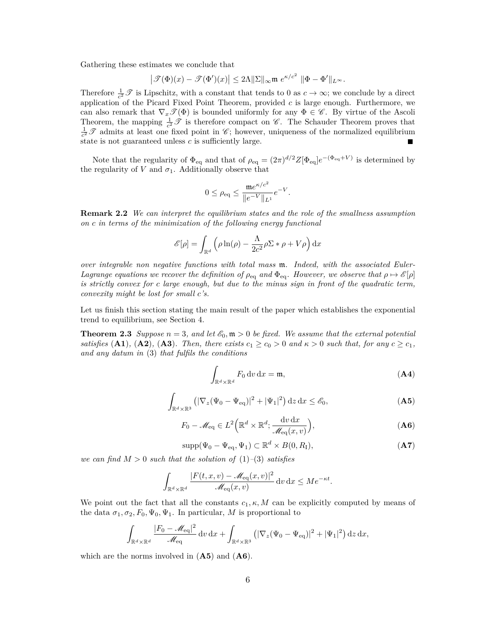Gathering these estimates we conclude that

$$
\left|\mathscr{T}(\Phi)(x) - \mathscr{T}(\Phi')(x)\right| \le 2\Lambda \|\Sigma\|_{\infty} \mathfrak{m} e^{\kappa/c^2} \|\Phi - \Phi'\|_{L^{\infty}}.
$$

Therefore  $\frac{1}{c^2}$  T is Lipschitz, with a constant that tends to 0 as  $c \to \infty$ ; we conclude by a direct application of the Picard Fixed Point Theorem, provided *c* is large enough. Furthermore, we can also remark that  $\nabla_x \mathcal{I}(\Phi)$  is bounded uniformly for any  $\Phi \in \mathscr{C}$ . By virtue of the Ascoli Theorem, the mapping  $\frac{1}{c^2}$  is therefore compact on  $\mathscr{C}$ . The Schauder Theorem proves that  $\frac{1}{c^2}$  *c* admits at least one fixed point in *C*; however, uniqueness of the normalized equilibrium state is not guaranteed unless *c* is sufficiently large.

Note that the regularity of  $\Phi_{\text{eq}}$  and that of  $\rho_{\text{eq}} = (2\pi)^{d/2} Z[\Phi_{\text{eq}}]e^{-(\Phi_{\text{eq}}+V)}$  is determined by the regularity of *V* and  $\sigma_1$ . Additionally observe that

$$
0\leq \rho_{\rm eq}\leq \frac{{\mathfrak m} e^{\kappa/c^2}}{\|e^{-V}\|_{L^1}}e^{-V}.
$$

**Remark 2.2** *We can interpret the equilibrium states and the role of the smallness assumption on c in terms of the minimization of the following energy functional*

$$
\mathscr{E}[\rho] = \int_{\mathbb{R}^d} \left( \rho \ln(\rho) - \frac{\Lambda}{2c^2} \rho \Sigma * \rho + V\rho \right) dx
$$

*over integrable non negative functions with total mass* m*. Indeed, with the associated Euler-Lagrange equations we recover the definition of*  $\rho_{eq}$  *and*  $\Phi_{eq}$ . However, we observe that  $\rho \mapsto \mathscr{E}[\rho]$ *is strictly convex for c large enough, but due to the minus sign in front of the quadratic term, convexity might be lost for small c's.*

Let us finish this section stating the main result of the paper which establishes the exponential trend to equilibrium, see Section 4.

**Theorem 2.3** *Suppose*  $n = 3$ *, and let*  $\mathcal{E}_0$ ,  $m > 0$  *be fixed. We assume that the external potential satisfies* (**A1**), (**A2**), (**A3**)*. Then, there exists*  $c_1 \geq c_0 > 0$  *and*  $\kappa > 0$  *such that, for any*  $c \geq c_1$ , *and any datum in* (3) *that fulfils the conditions*

$$
\int_{\mathbb{R}^d \times \mathbb{R}^d} F_0 \, \mathrm{d}v \, \mathrm{d}x = \mathfrak{m},\tag{A4}
$$

$$
\int_{\mathbb{R}^d \times \mathbb{R}^3} \left( |\nabla_z (\Psi_0 - \Psi_{\text{eq}})|^2 + |\Psi_1|^2 \right) dz dz \leq \mathscr{E}_0,
$$
\n(A5)

$$
F_0 - \mathcal{M}_{\text{eq}} \in L^2\left(\mathbb{R}^d \times \mathbb{R}^d; \frac{\mathrm{d}v \, \mathrm{d}x}{\mathcal{M}_{\text{eq}}(x, v)}\right),\tag{A6}
$$

$$
\operatorname{supp}(\Psi_0 - \Psi_{\text{eq}}, \Psi_1) \subset \mathbb{R}^d \times B(0, R_I),\tag{A7}
$$

*we can find*  $M > 0$  *such that the solution of*  $(1)$ – $(3)$  *satisfies* 

$$
\int_{\mathbb{R}^d \times \mathbb{R}^d} \frac{|F(t, x, v) - \mathcal{M}_{\text{eq}}(x, v)|^2}{\mathcal{M}_{\text{eq}}(x, v)} \, \mathrm{d}v \, \mathrm{d}x \leq Me^{-\kappa t}.
$$

We point out the fact that all the constants  $c_1, \kappa, M$  can be explicitly computed by means of the data  $\sigma_1, \sigma_2, F_0, \Psi_0, \Psi_1$ . In particular, *M* is proportional to

$$
\int_{\mathbb{R}^d \times \mathbb{R}^d} \frac{|F_0 - \mathcal{M}_{\mathrm{eq}}|^2}{\mathcal{M}_{\mathrm{eq}}} \, \mathrm{d}v \, \mathrm{d}x + \int_{\mathbb{R}^d \times \mathbb{R}^3} \left( |\nabla_z (\Psi_0 - \Psi_{\mathrm{eq}})|^2 + |\Psi_1|^2 \right) \mathrm{d}z \, \mathrm{d}x,
$$

which are the norms involved in (**A5**) and (**A6**).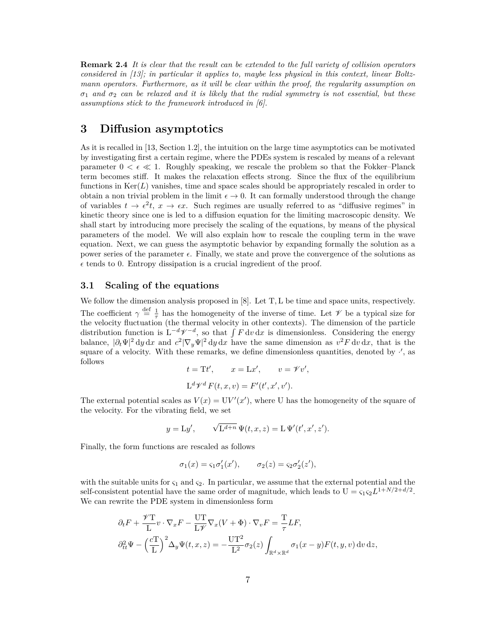**Remark 2.4** *It is clear that the result can be extended to the full variety of collision operators considered in [13]; in particular it applies to, maybe less physical in this context, linear Boltzmann operators. Furthermore, as it will be clear within the proof, the regularity assumption on*  $\sigma_1$  *and*  $\sigma_2$  *can be relaxed and it is likely that the radial symmetry is not essential, but these assumptions stick to the framework introduced in [6].*

## **3 Diffusion asymptotics**

As it is recalled in [13, Section 1.2], the intuition on the large time asymptotics can be motivated by investigating first a certain regime, where the PDEs system is rescaled by means of a relevant parameter  $0 < \epsilon \ll 1$ . Roughly speaking, we rescale the problem so that the Fokker–Planck term becomes stiff. It makes the relaxation effects strong. Since the flux of the equilibrium functions in  $\text{Ker}(L)$  vanishes, time and space scales should be appropriately rescaled in order to obtain a non trivial problem in the limit  $\epsilon \to 0$ . It can formally understood through the change of variables  $t \to \epsilon^2 t$ ,  $x \to \epsilon x$ . Such regimes are usually referred to as "diffusive regimes" in kinetic theory since one is led to a diffusion equation for the limiting macroscopic density. We shall start by introducing more precisely the scaling of the equations, by means of the physical parameters of the model. We will also explain how to rescale the coupling term in the wave equation. Next, we can guess the asymptotic behavior by expanding formally the solution as a power series of the parameter  $\epsilon$ . Finally, we state and prove the convergence of the solutions as  $\epsilon$  tends to 0. Entropy dissipation is a crucial ingredient of the proof.

#### **3.1 Scaling of the equations**

We follow the dimension analysis proposed in [8]. Let T, L be time and space units, respectively. The coefficient  $\gamma \stackrel{\text{def}}{=} \frac{1}{\tau}$  has the homogeneity of the inverse of time. Let  $\mathscr V$  be a typical size for the velocity fluctuation (the thermal velocity in other contexts). The dimension of the particle distribution function is  $L^{-d}\mathscr{V}^{-d}$ , so that  $\int F dv dx$  is dimensionless. Considering the energy balance,  $|\partial_t \Psi|^2 dy dx$  and  $c^2 |\nabla_y \Psi|^2 dy dx$  have the same dimension as  $v^2 F dv dx$ , that is the square of a velocity. With these remarks, we define dimensionless quantities, denoted by  $\cdot'$ , as follows

$$
t = \mathrm{T}t', \qquad x = \mathrm{L}x', \qquad v = \mathscr{V}v',
$$

$$
\mathrm{L}^d\mathscr{V}^d F(t, x, v) = F'(t', x', v').
$$

The external potential scales as  $V(x) = UV'(x')$ , where U has the homogeneity of the square of the velocity. For the vibrating field, we set

$$
y = Ly', \qquad \sqrt{L^{d+n}} \Psi(t, x, z) = L \Psi'(t', x', z').
$$

Finally, the form functions are rescaled as follows

$$
\sigma_1(x) = \varsigma_1 \sigma'_1(x'), \qquad \sigma_2(z) = \varsigma_2 \sigma'_2(z'),
$$

with the suitable units for  $\varsigma_1$  and  $\varsigma_2$ . In particular, we assume that the external potential and the self-consistent potential have the same order of magnitude, which leads to  $U = \zeta_1 \zeta_2 L^{1+N/2+d/2}$ . We can rewrite the PDE system in dimensionless form

$$
\partial_t F + \frac{\mathcal{V}\mathbf{T}}{\mathbf{L}} v \cdot \nabla_x F - \frac{\mathbf{U}\mathbf{T}}{\mathbf{L}\mathcal{V}} \nabla_x (V + \Phi) \cdot \nabla_v F = \frac{\mathbf{T}}{\tau} L F,
$$
  

$$
\partial_{tt}^2 \Psi - \left(\frac{c\mathbf{T}}{\mathbf{L}}\right)^2 \Delta_y \Psi(t, x, z) = -\frac{\mathbf{U}\mathbf{T}^2}{\mathbf{L}^2} \sigma_2(z) \int_{\mathbb{R}^d \times \mathbb{R}^d} \sigma_1(x - y) F(t, y, v) \, dv \, dz,
$$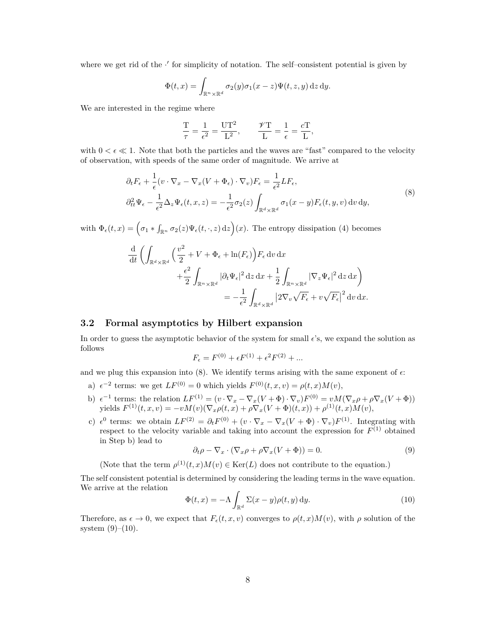where we get rid of the  $\cdot'$  for simplicity of notation. The self-consistent potential is given by

$$
\Phi(t,x) = \int_{\mathbb{R}^n \times \mathbb{R}^d} \sigma_2(y) \sigma_1(x-z) \Psi(t,z,y) \,dz \,dy.
$$

We are interested in the regime where

$$
\frac{T}{\tau}=\frac{1}{\epsilon^2}=\frac{UT^2}{L^2},\qquad \frac{\mathscr{V} T}{L}=\frac{1}{\epsilon}=\frac{c T}{L},
$$

with  $0 < \epsilon \ll 1$ . Note that both the particles and the waves are "fast" compared to the velocity of observation, with speeds of the same order of magnitude. We arrive at

$$
\partial_t F_{\epsilon} + \frac{1}{\epsilon} (v \cdot \nabla_x - \nabla_x (V + \Phi_{\epsilon}) \cdot \nabla_v) F_{\epsilon} = \frac{1}{\epsilon^2} L F_{\epsilon},
$$
\n
$$
\partial_{tt}^2 \Psi_{\epsilon} - \frac{1}{\epsilon^2} \Delta_z \Psi_{\epsilon}(t, x, z) = -\frac{1}{\epsilon^2} \sigma_2(z) \int_{\mathbb{R}^d \times \mathbb{R}^d} \sigma_1(x - y) F_{\epsilon}(t, y, v) \, dv \, dy,
$$
\n(8)

with  $\Phi_{\epsilon}(t,x) = \left(\sigma_1 * \int_{\mathbb{R}^n} \sigma_2(z) \Psi_{\epsilon}(t,\cdot,z) dz\right)(x)$ . The entropy dissipation (4) becomes

$$
\frac{\mathrm{d}}{\mathrm{d}t} \left( \int_{\mathbb{R}^d \times \mathbb{R}^d} \left( \frac{v^2}{2} + V + \Phi_{\epsilon} + \ln(F_{\epsilon}) \right) F_{\epsilon} \, \mathrm{d}v \, \mathrm{d}x \n+ \frac{\epsilon^2}{2} \int_{\mathbb{R}^n \times \mathbb{R}^d} |\partial_t \Psi_{\epsilon}|^2 \, \mathrm{d}z \, \mathrm{d}x + \frac{1}{2} \int_{\mathbb{R}^n \times \mathbb{R}^d} |\nabla_z \Psi_{\epsilon}|^2 \, \mathrm{d}z \, \mathrm{d}x \right) \n= - \frac{1}{\epsilon^2} \int_{\mathbb{R}^d \times \mathbb{R}^d} |2 \nabla_v \sqrt{F_{\epsilon}} + v \sqrt{F_{\epsilon}}|^2 \, \mathrm{d}v \, \mathrm{d}x.
$$

#### **3.2 Formal asymptotics by Hilbert expansion**

In order to guess the asymptotic behavior of the system for small  $\epsilon$ 's, we expand the solution as follows

$$
F_{\epsilon} = F^{(0)} + \epsilon F^{(1)} + \epsilon^2 F^{(2)} + \dots
$$

and we plug this expansion into (8). We identify terms arising with the same exponent of  $\epsilon$ :

- a)  $\epsilon^{-2}$  terms: we get  $LF^{(0)} = 0$  which yields  $F^{(0)}(t, x, v) = \rho(t, x)M(v)$ ,
- b)  $\epsilon^{-1}$  terms: the relation  $LF^{(1)} = (v \cdot \nabla_x \nabla_x (V + \Phi) \cdot \nabla_v) F^{(0)} = v M (\nabla_x \rho + \rho \nabla_x (V + \Phi))$  $y$ ields  $F^{(1)}(t, x, v) = -vM(v)(\nabla_x \rho(t, x) + \rho \nabla_x (V + \Phi)(t, x)) + \rho^{(1)}(t, x)M(v),$
- c)  $\epsilon^0$  terms: we obtain  $LF^{(2)} = \partial_t F^{(0)} + (v \cdot \nabla_x \nabla_x (V + \Phi) \cdot \nabla_v) F^{(1)}$ . Integrating with respect to the velocity variable and taking into account the expression for  $F^{(1)}$  obtained in Step b) lead to

$$
\partial_t \rho - \nabla_x \cdot (\nabla_x \rho + \rho \nabla_x (V + \Phi)) = 0. \tag{9}
$$

(Note that the term  $\rho^{(1)}(t, x)M(v) \in \text{Ker}(L)$  does not contribute to the equation.)

The self consistent potential is determined by considering the leading terms in the wave equation. We arrive at the relation

$$
\Phi(t,x) = -\Lambda \int_{\mathbb{R}^d} \Sigma(x-y) \rho(t,y) \, dy.
$$
\n(10)

Therefore, as  $\epsilon \to 0$ , we expect that  $F_{\epsilon}(t, x, v)$  converges to  $\rho(t, x)M(v)$ , with  $\rho$  solution of the system  $(9)-(10)$ .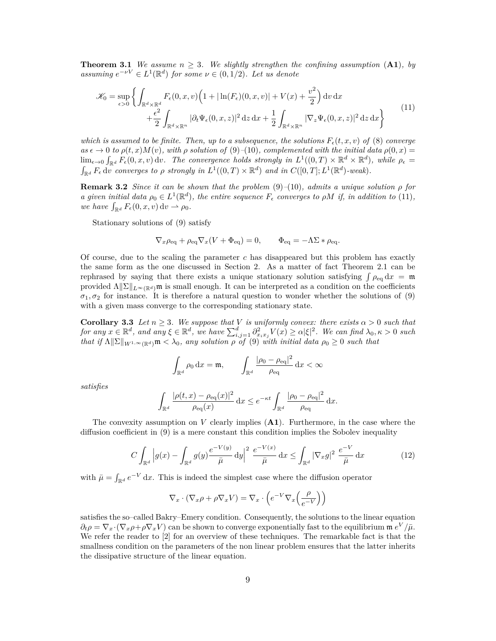**Theorem 3.1** We assume  $n \geq 3$ . We slightly strengthen the confining assumption (A1), by *assuming*  $e^{-\nu V} \in L^1(\mathbb{R}^d)$  *for some*  $\nu \in (0, 1/2)$ *. Let us denote* 

$$
\mathcal{K}_0 = \sup_{\epsilon > 0} \left\{ \int_{\mathbb{R}^d \times \mathbb{R}^d} F_{\epsilon}(0, x, v) \left( 1 + |\ln(F_{\epsilon})(0, x, v)| + V(x) + \frac{v^2}{2} \right) dv dx + \frac{\epsilon^2}{2} \int_{\mathbb{R}^d \times \mathbb{R}^n} |\partial_t \Psi_{\epsilon}(0, x, z)|^2 dz dx + \frac{1}{2} \int_{\mathbb{R}^d \times \mathbb{R}^n} |\nabla_z \Psi_{\epsilon}(0, x, z)|^2 dz dx \right\}
$$
(11)

*which is assumed to be finite. Then, up to a subsequence, the solutions*  $F_{\epsilon}(t, x, v)$  of (8) *converge*  $as \epsilon \to 0$  *to*  $\rho(t, x)M(v)$ *, with*  $\rho$  *solution of* (9)–(10)*, complemented with the initial data*  $\rho(0, x)$  =  $\lim_{\epsilon \to 0} \int_{\mathbb{R}^d} F_{\epsilon}(0, x, v) dv$ . The convergence holds strongly in  $L^1((0, T) \times \mathbb{R}^d \times \mathbb{R}^d)$ , while  $\rho_{\epsilon} =$  $\int_{\mathbb{R}^d} F_\epsilon \, dv$  *converges to*  $\rho$  *strongly in*  $L^1((0,T) \times \mathbb{R}^d)$  *and in*  $C([0,T]; L^1(\mathbb{R}^d)$ -weak).

**Remark 3.2** *Since it can be shown that the problem* (9)*–*(10)*, admits a unique solution ρ for a* given initial data  $\rho_0 \in L^1(\mathbb{R}^d)$ , the entire sequence  $F_{\epsilon}$  converges to  $\rho M$  if, in addition to (11), *we have*  $\int_{\mathbb{R}^d} F_{\epsilon}(0, x, v) dv \rightharpoonup \rho_0$ .

Stationary solutions of (9) satisfy

$$
\nabla_x \rho_{\text{eq}} + \rho_{\text{eq}} \nabla_x (V + \Phi_{\text{eq}}) = 0, \qquad \Phi_{\text{eq}} = -\Lambda \Sigma * \rho_{\text{eq}}.
$$

Of course, due to the scaling the parameter *c* has disappeared but this problem has exactly the same form as the one discussed in Section 2. As a matter of fact Theorem 2.1 can be rephrased by saying that there exists a unique stationary solution satisfying  $\int \rho_{eq} dx = \mathfrak{m}$ provided  $\Lambda \|\Sigma\|_{L^\infty(\mathbb{R}^d)}$  is small enough. It can be interpreted as a condition on the coefficients  $\sigma_1, \sigma_2$  for instance. It is therefore a natural question to wonder whether the solutions of (9) with a given mass converge to the corresponding stationary state.

**Corollary 3.3** *Let*  $n \geq 3$ *. We suppose that V is uniformly convex: there exists*  $\alpha > 0$  *such that* for any  $x \in \mathbb{R}^d$ , and any  $\xi \in \mathbb{R}^d$ , we have  $\sum_{i,j=1}^d \partial_{x_ix_j}^2 V(x) \ge \alpha |\xi|^2$ . We can find  $\lambda_0, \kappa > 0$  such *that if*  $\Lambda \|\Sigma\|_{W^{1,\infty}(\mathbb{R}^d)} \mathfrak{m} < \lambda_0$ , any solution  $\rho$  *of* (9) *with initial data*  $\rho_0 \geq 0$  *such that* 

$$
\int_{\mathbb{R}^d} \rho_0 \, \mathrm{d}x = \mathfrak{m}, \qquad \int_{\mathbb{R}^d} \frac{|\rho_0 - \rho_{\text{eq}}|^2}{\rho_{\text{eq}}} \, \mathrm{d}x < \infty
$$

*satisfies*

$$
\int_{\mathbb{R}^d} \frac{|\rho(t,x) - \rho_{\text{eq}}(x)|^2}{\rho_{\text{eq}}(x)} dx \le e^{-\kappa t} \int_{\mathbb{R}^d} \frac{|\rho_0 - \rho_{\text{eq}}|^2}{\rho_{\text{eq}}} dx.
$$

The convexity assumption on *V* clearly implies (**A1**). Furthermore, in the case where the diffusion coefficient in (9) is a mere constant this condition implies the Sobolev inequality

$$
C\int_{\mathbb{R}^d} \left| g(x) - \int_{\mathbb{R}^d} g(y) \frac{e^{-V(y)}}{\bar{\mu}} dy \right|^2 \frac{e^{-V(x)}}{\bar{\mu}} dx \le \int_{\mathbb{R}^d} |\nabla_x g|^2 \frac{e^{-V}}{\bar{\mu}} dx \tag{12}
$$

with  $\bar{\mu} = \int_{\mathbb{R}^d} e^{-V} dx$ . This is indeed the simplest case where the diffusion operator

$$
\nabla_x \cdot (\nabla_x \rho + \rho \nabla_x V) = \nabla_x \cdot \left( e^{-V} \nabla_x \left( \frac{\rho}{e^{-V}} \right) \right)
$$

satisfies the so–called Bakry–Emery condition. Consequently, the solutions to the linear equation  $\partial_t \rho = \nabla_x \cdot (\nabla_x \rho + \rho \nabla_x V)$  can be shown to converge exponentially fast to the equilibrium  $\mathfrak{m} e^V / \bar{\mu}$ . We refer the reader to [2] for an overview of these techniques. The remarkable fact is that the smallness condition on the parameters of the non linear problem ensures that the latter inherits the dissipative structure of the linear equation.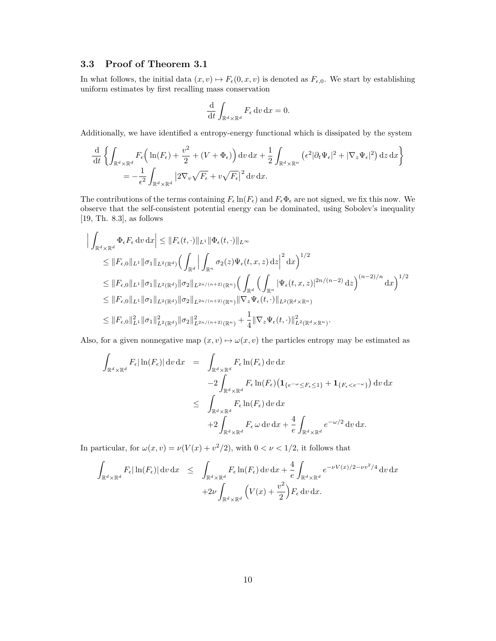#### **3.3 Proof of Theorem 3.1**

In what follows, the initial data  $(x, v) \mapsto F_{\epsilon}(0, x, v)$  is denoted as  $F_{\epsilon, 0}$ . We start by establishing uniform estimates by first recalling mass conservation

$$
\frac{\mathrm{d}}{\mathrm{d}t} \int_{\mathbb{R}^d \times \mathbb{R}^d} F_{\epsilon} \, \mathrm{d}v \, \mathrm{d}x = 0.
$$

Additionally, we have identified a entropy-energy functional which is dissipated by the system

$$
\frac{\mathrm{d}}{\mathrm{d}t} \left\{ \int_{\mathbb{R}^d \times \mathbb{R}^d} F_{\epsilon} \left( \ln(F_{\epsilon}) + \frac{v^2}{2} + (V + \Phi_{\epsilon}) \right) \mathrm{d}v \, \mathrm{d}x + \frac{1}{2} \int_{\mathbb{R}^d \times \mathbb{R}^n} \left( \epsilon^2 |\partial_t \Psi_{\epsilon}|^2 + |\nabla_z \Psi_{\epsilon}|^2 \right) \mathrm{d}z \, \mathrm{d}x \right\}
$$
\n
$$
= -\frac{1}{\epsilon^2} \int_{\mathbb{R}^d \times \mathbb{R}^d} |2\nabla_v \sqrt{F_{\epsilon}} + v \sqrt{F_{\epsilon}}|^2 \, \mathrm{d}v \, \mathrm{d}x.
$$

The contributions of the terms containing  $F_{\epsilon} \ln(F_{\epsilon})$  and  $F_{\epsilon} \Phi_{\epsilon}$  are not signed, we fix this now. We observe that the self-consistent potential energy can be dominated, using Sobolev's inequality [19, Th. 8.3], as follows

$$
\begin{split}\n&\Big| \int_{\mathbb{R}^{d} \times \mathbb{R}^{d}} \Phi_{\epsilon} F_{\epsilon} \, \mathrm{d}v \, \mathrm{d}x \Big| \leq \| F_{\epsilon}(t, \cdot) \|_{L^{1}} \| \Phi_{\epsilon}(t, \cdot) \|_{L^{\infty}} \\
&\leq \| F_{\epsilon,0} \|_{L^{1}} \| \sigma_{1} \|_{L^{2}(\mathbb{R}^{d})} \Big( \int_{\mathbb{R}^{d}} \Big| \int_{\mathbb{R}^{n}} \sigma_{2}(z) \Psi_{\epsilon}(t, x, z) \, \mathrm{d}z \Big|^{2} \, \mathrm{d}x \Big)^{1/2} \\
&\leq \| F_{\epsilon,0} \|_{L^{1}} \| \sigma_{1} \|_{L^{2}(\mathbb{R}^{d})} \| \sigma_{2} \|_{L^{2n/(n+2)}(\mathbb{R}^{n})} \Big( \int_{\mathbb{R}^{d}} \Big( \int_{\mathbb{R}^{n}} | \Psi_{\epsilon}(t, x, z) |^{2n/(n-2)} \, \mathrm{d}z \Big)^{(n-2)/n} \, \mathrm{d}x \Big)^{1/2} \\
&\leq \| F_{\epsilon,0} \|_{L^{1}} \| \sigma_{1} \|_{L^{2}(\mathbb{R}^{d})} \| \sigma_{2} \|_{L^{2n/(n+2)}(\mathbb{R}^{n})} \| \nabla_{z} \Psi_{\epsilon}(t, \cdot) \|_{L^{2}(\mathbb{R}^{d} \times \mathbb{R}^{n})} \\
&\leq \| F_{\epsilon,0} \|_{L^{1}}^{2} \| \sigma_{1} \|_{L^{2}(\mathbb{R}^{d})}^{2} \| \sigma_{2} \|_{L^{2n/(n+2)}(\mathbb{R}^{n})}^{2} + \frac{1}{4} \| \nabla_{z} \Psi_{\epsilon}(t, \cdot) \|_{L^{2}(\mathbb{R}^{d} \times \mathbb{R}^{n})}^{2}.\n\end{split}
$$

Also, for a given nonnegative map  $(x, v) \mapsto \omega(x, v)$  the particles entropy may be estimated as

$$
\int_{\mathbb{R}^d \times \mathbb{R}^d} F_{\epsilon} |\ln(F_{\epsilon})| dv dx = \int_{\mathbb{R}^d \times \mathbb{R}^d} F_{\epsilon} \ln(F_{\epsilon}) dv dx
$$
  
\n
$$
-2 \int_{\mathbb{R}^d \times \mathbb{R}^d} F_{\epsilon} \ln(F_{\epsilon}) \left( \mathbf{1}_{\{e^{-\omega} \le F_{\epsilon} \le 1\}} + \mathbf{1}_{\{F_{\epsilon} < e^{-\omega} \}} \right) dv dx
$$
  
\n
$$
\le \int_{\mathbb{R}^d \times \mathbb{R}^d} F_{\epsilon} \ln(F_{\epsilon}) dv dx
$$
  
\n
$$
+2 \int_{\mathbb{R}^d \times \mathbb{R}^d} F_{\epsilon} \omega dv dx + \frac{4}{e} \int_{\mathbb{R}^d \times \mathbb{R}^d} e^{-\omega/2} dv dx.
$$

In particular, for  $\omega(x, v) = \nu(V(x) + v^2/2)$ , with  $0 < \nu < 1/2$ , it follows that

$$
\int_{\mathbb{R}^d \times \mathbb{R}^d} F_{\epsilon} |\ln(F_{\epsilon})| dv dx \leq \int_{\mathbb{R}^d \times \mathbb{R}^d} F_{\epsilon} \ln(F_{\epsilon}) dv dx + \frac{4}{e} \int_{\mathbb{R}^d \times \mathbb{R}^d} e^{-\nu V(x)/2 - \nu v^2/4} dv dx + 2\nu \int_{\mathbb{R}^d \times \mathbb{R}^d} (V(x) + \frac{v^2}{2}) F_{\epsilon} dv dx.
$$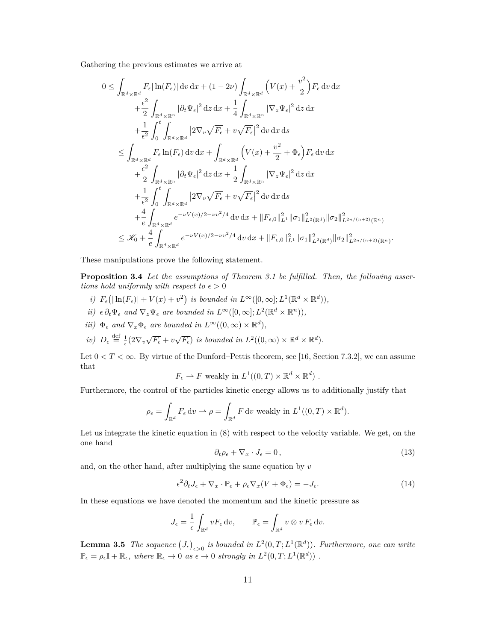Gathering the previous estimates we arrive at

$$
0 \leq \int_{\mathbb{R}^d \times \mathbb{R}^d} F_{\epsilon} |\ln(F_{\epsilon})| \, dv \, dx + (1 - 2\nu) \int_{\mathbb{R}^d \times \mathbb{R}^d} (V(x) + \frac{v^2}{2}) F_{\epsilon} \, dv \, dx
$$
  
\n
$$
+ \frac{\epsilon^2}{2} \int_{\mathbb{R}^d \times \mathbb{R}^n} |\partial_t \Psi_{\epsilon}|^2 \, dz \, dx + \frac{1}{4} \int_{\mathbb{R}^d \times \mathbb{R}^n} |\nabla_z \Psi_{\epsilon}|^2 \, dz \, dx
$$
  
\n
$$
+ \frac{1}{\epsilon^2} \int_0^t \int_{\mathbb{R}^d \times \mathbb{R}^d} |2 \nabla_v \sqrt{F_{\epsilon}} + v \sqrt{F_{\epsilon}}|^2 \, dv \, dx \, ds
$$
  
\n
$$
\leq \int_{\mathbb{R}^d \times \mathbb{R}^d} F_{\epsilon} \ln(F_{\epsilon}) \, dv \, dx + \int_{\mathbb{R}^d \times \mathbb{R}^d} (V(x) + \frac{v^2}{2} + \Phi_{\epsilon}) F_{\epsilon} \, dv \, dx
$$
  
\n
$$
+ \frac{\epsilon^2}{2} \int_{\mathbb{R}^d \times \mathbb{R}^n} |\partial_t \Psi_{\epsilon}|^2 \, dz \, dx + \frac{1}{2} \int_{\mathbb{R}^d \times \mathbb{R}^n} |\nabla_z \Psi_{\epsilon}|^2 \, dz \, dx
$$
  
\n
$$
+ \frac{1}{\epsilon^2} \int_0^t \int_{\mathbb{R}^d \times \mathbb{R}^d} |2 \nabla_v \sqrt{F_{\epsilon}} + v \sqrt{F_{\epsilon}}|^2 \, dv \, dx \, ds
$$
  
\n
$$
+ \frac{4}{\epsilon} \int_{\mathbb{R}^d \times \mathbb{R}^d} e^{-\nu V(x)/2 - \nu v^2/4} \, dv \, dx + ||F_{\epsilon,0}||_{L^1}^2 ||\sigma_1||_{L^2(\mathbb{R}^d)}^2 ||\sigma_2||_{L^{2n/(n+2)}(\mathbb{R}^n)}^2
$$
  
\n
$$
\leq \mathcal{K}_0 + \frac
$$

These manipulations prove the following statement.

**Proposition 3.4** *Let the assumptions of Theorem 3.1 be fulfilled. Then, the following assertions hold uniformly with respect to*  $\epsilon > 0$ 

- *i)*  $F_{\epsilon}(|\ln(F_{\epsilon})| + V(x) + v^2)$  *is bounded in*  $L^{\infty}([0,\infty]; L^1(\mathbb{R}^d \times \mathbb{R}^d))$ ,
- *ii*)  $\epsilon \partial_t \Psi_{\epsilon}$  and  $\nabla_z \Psi_{\epsilon}$  are bounded in  $L^{\infty}([0,\infty]; L^2(\mathbb{R}^d \times \mathbb{R}^n))$ ,
- *iii)*  $\Phi_{\epsilon}$  and  $\nabla_x \Phi_{\epsilon}$  are bounded in  $L^{\infty}((0,\infty) \times \mathbb{R}^d)$ ,
- *iv*)  $D_{\epsilon} \stackrel{\text{def}}{=} \frac{1}{\epsilon} (2\nabla_v \sqrt{F_{\epsilon}} + v\sqrt{F_{\epsilon}})$  *is bounded in*  $L^2((0,\infty) \times \mathbb{R}^d \times \mathbb{R}^d)$ *.*

Let  $0 < T < \infty$ . By virtue of the Dunford–Pettis theorem, see [16, Section 7.3.2], we can assume that

 $F_{\epsilon} \rightharpoonup F$  weakly in  $L^1((0,T) \times \mathbb{R}^d \times \mathbb{R}^d)$ .

Furthermore, the control of the particles kinetic energy allows us to additionally justify that

$$
\rho_{\epsilon} = \int_{\mathbb{R}^d} F_{\epsilon} \, \mathrm{d}v \rightharpoonup \rho = \int_{\mathbb{R}^d} F \, \mathrm{d}v \text{ weakly in } L^1((0, T) \times \mathbb{R}^d).
$$

Let us integrate the kinetic equation in (8) with respect to the velocity variable. We get, on the one hand

$$
\partial_t \rho_\epsilon + \nabla_x \cdot J_\epsilon = 0, \qquad (13)
$$

and, on the other hand, after multiplying the same equation by *v*

$$
\epsilon^2 \partial_t J_\epsilon + \nabla_x \cdot \mathbb{P}_\epsilon + \rho_\epsilon \nabla_x (V + \Phi_\epsilon) = -J_\epsilon. \tag{14}
$$

In these equations we have denoted the momentum and the kinetic pressure as

$$
J_{\epsilon} = \frac{1}{\epsilon} \int_{\mathbb{R}^d} v F_{\epsilon} \, \mathrm{d}v, \qquad \mathbb{P}_{\epsilon} = \int_{\mathbb{R}^d} v \otimes v F_{\epsilon} \, \mathrm{d}v.
$$

**Lemma 3.5** *The sequence*  $(J_{\epsilon})_{\epsilon>0}$  *is bounded in*  $L^2(0,T;L^1(\mathbb{R}^d))$ *. Furthermore, one can write*  $\mathbb{P}_{\epsilon} = \rho_{\epsilon} \mathbb{I} + \mathbb{R}_{\epsilon}$ , where  $\mathbb{R}_{\epsilon} \to 0$  as  $\epsilon \to 0$  strongly in  $L^2(0,T;L^1(\mathbb{R}^d))$ .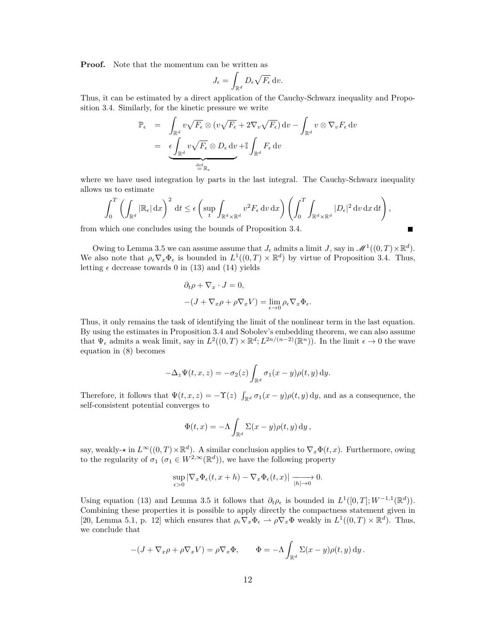**Proof.** Note that the momentum can be written as

$$
J_{\epsilon} = \int_{\mathbb{R}^d} D_{\epsilon} \sqrt{F_{\epsilon}} \, \mathrm{d}v.
$$

Thus, it can be estimated by a direct application of the Cauchy-Schwarz inequality and Proposition 3.4. Similarly, for the kinetic pressure we write

$$
\mathbb{P}_{\epsilon} = \int_{\mathbb{R}^{d}} v \sqrt{F_{\epsilon}} \otimes (v \sqrt{F_{\epsilon}} + 2 \nabla_{v} \sqrt{F_{\epsilon}}) dv - \int_{\mathbb{R}^{d}} v \otimes \nabla_{v} F_{\epsilon} dv
$$

$$
= \underbrace{\epsilon \int_{\mathbb{R}^{d}} v \sqrt{F_{\epsilon}} \otimes D_{\epsilon} dv}_{\stackrel{\text{def}}{=} \mathbb{R}_{\epsilon}} + \mathbb{I} \int_{\mathbb{R}^{d}} F_{\epsilon} dv
$$

where we have used integration by parts in the last integral. The Cauchy-Schwarz inequality allows us to estimate

$$
\int_0^T \left( \int_{\mathbb{R}^d} |\mathbb{R}_{\epsilon}| \, \mathrm{d}x \right)^2 \, \mathrm{d}t \le \epsilon \left( \sup_t \int_{\mathbb{R}^d \times \mathbb{R}^d} v^2 F_{\epsilon} \, \mathrm{d}v \, \mathrm{d}x \right) \left( \int_0^T \int_{\mathbb{R}^d \times \mathbb{R}^d} |D_{\epsilon}|^2 \, \mathrm{d}v \, \mathrm{d}x \, \mathrm{d}t \right),
$$

П

from which one concludes using the bounds of Proposition 3.4.

Owing to Lemma 3.5 we can assume assume that  $J_{\epsilon}$  admits a limit *J*, say in  $\mathscr{M}^1((0,T)\times\mathbb{R}^d)$ . We also note that  $\rho_\epsilon \nabla_x \Phi_\epsilon$  is bounded in  $L^1((0,T) \times \mathbb{R}^d)$  by virtue of Proposition 3.4. Thus, letting  $\epsilon$  decrease towards 0 in (13) and (14) yields

$$
\partial_t \rho + \nabla_x \cdot J = 0,
$$
  
- $(J + \nabla_x \rho + \rho \nabla_x V) = \lim_{\epsilon \to 0} \rho_{\epsilon} \nabla_x \Phi_{\epsilon}.$ 

Thus, it only remains the task of identifying the limit of the nonlinear term in the last equation. By using the estimates in Proposition 3.4 and Sobolev's embedding theorem, we can also assume that  $\Psi_{\epsilon}$  admits a weak limit, say in  $L^2((0,T) \times \mathbb{R}^d; L^{2n/(n-2)}(\mathbb{R}^n))$ . In the limit  $\epsilon \to 0$  the wave equation in (8) becomes

$$
-\Delta_z \Psi(t, x, z) = -\sigma_2(z) \int_{\mathbb{R}^d} \sigma_1(x - y) \rho(t, y) \, dy.
$$

Therefore, it follows that  $\Psi(t, x, z) = -\Upsilon(z) \int_{\mathbb{R}^d} \sigma_1(x - y) \rho(t, y) dy$ , and as a consequence, the self-consistent potential converges to

$$
\Phi(t,x) = -\Lambda \int_{\mathbb{R}^d} \Sigma(x-y) \rho(t,y) \,dy,
$$

say, weakly- $\star$  in  $L^{\infty}((0,T)\times\mathbb{R}^d)$ . A similar conclusion applies to  $\nabla_x\Phi(t,x)$ . Furthermore, owing to the regularity of  $\sigma_1$  ( $\sigma_1 \in W^{2,\infty}(\mathbb{R}^d)$ ), we have the following property

$$
\sup_{\epsilon>0} |\nabla_x \Phi_{\epsilon}(t, x+h) - \nabla_x \Phi_{\epsilon}(t, x)| \xrightarrow[h \to 0]{} 0.
$$

Using equation (13) and Lemma 3.5 it follows that  $\partial_t \rho_{\epsilon}$  is bounded in  $L^1([0,T]; W^{-1,1}(\mathbb{R}^d))$ . Combining these properties it is possible to apply directly the compactness statement given in [20, Lemma 5.1, p. 12] which ensures that  $\rho_{\epsilon} \nabla_x \Phi_{\epsilon} \rightharpoonup \rho \nabla_x \Phi$  weakly in  $L^1((0,T) \times \mathbb{R}^d)$ . Thus, we conclude that

$$
-(J+\nabla_x \rho + \rho \nabla_x V) = \rho \nabla_x \Phi, \qquad \Phi = -\Lambda \int_{\mathbb{R}^d} \Sigma(x-y) \rho(t,y) \,dy.
$$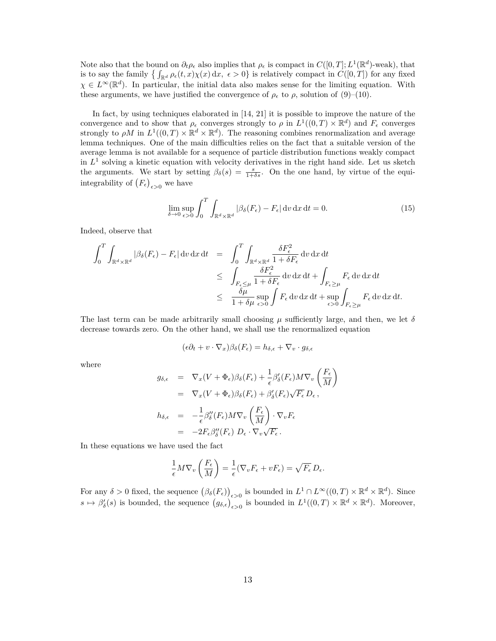Note also that the bound on  $\partial_t \rho_\epsilon$  also implies that  $\rho_\epsilon$  is compact in  $C([0,T]; L^1(\mathbb{R}^d)$ -weak), that is to say the family  $\left\{ \int_{\mathbb{R}^d} \rho_{\epsilon}(t,x) \chi(x) dx, \epsilon > 0 \right\}$  is relatively compact in  $C([0,T])$  for any fixed  $\chi \in L^{\infty}(\mathbb{R}^d)$ . In particular, the initial data also makes sense for the limiting equation. With these arguments, we have justified the convergence of  $\rho_{\epsilon}$  to  $\rho$ , solution of (9)–(10).

In fact, by using techniques elaborated in [14, 21] it is possible to improve the nature of the convergence and to show that  $\rho_{\epsilon}$  converges strongly to  $\rho$  in  $L^1((0,T) \times \mathbb{R}^d)$  and  $F_{\epsilon}$  converges strongly to  $\rho M$  in  $L^1((0,T) \times \mathbb{R}^d \times \mathbb{R}^d)$ . The reasoning combines renormalization and average lemma techniques. One of the main difficulties relies on the fact that a suitable version of the average lemma is not available for a sequence of particle distribution functions weakly compact in  $L<sup>1</sup>$  solving a kinetic equation with velocity derivatives in the right hand side. Let us sketch the arguments. We start by setting  $\beta_{\delta}(s) = \frac{s}{1+\delta s}$ . On the one hand, by virtue of the equiintegrability of  $(F_{\epsilon})_{\epsilon>0}$  we have

$$
\lim_{\delta \to 0} \sup_{\epsilon > 0} \int_0^T \int_{\mathbb{R}^d \times \mathbb{R}^d} |\beta_{\delta}(F_{\epsilon}) - F_{\epsilon}| \, \mathrm{d}v \, \mathrm{d}x \, \mathrm{d}t = 0. \tag{15}
$$

Indeed, observe that

$$
\int_{0}^{T} \int_{\mathbb{R}^{d} \times \mathbb{R}^{d}} |\beta_{\delta}(F_{\epsilon}) - F_{\epsilon}| \, \mathrm{d}v \, \mathrm{d}x \, \mathrm{d}t = \int_{0}^{T} \int_{\mathbb{R}^{d} \times \mathbb{R}^{d}} \frac{\delta F_{\epsilon}^{2}}{1 + \delta F_{\epsilon}} \, \mathrm{d}v \, \mathrm{d}x \, \mathrm{d}t \leq \int_{F_{\epsilon} \leq \mu} \frac{\delta F_{\epsilon}^{2}}{1 + \delta F_{\epsilon}} \, \mathrm{d}v \, \mathrm{d}x \, \mathrm{d}t + \int_{F_{\epsilon} \geq \mu} F_{\epsilon} \, \mathrm{d}v \, \mathrm{d}x \, \mathrm{d}t \leq \frac{\delta \mu}{1 + \delta \mu} \sup_{\epsilon > 0} \int_{F_{\epsilon}} F_{\epsilon} \, \mathrm{d}v \, \mathrm{d}x \, \mathrm{d}t + \sup_{\epsilon > 0} \int_{F_{\epsilon} \geq \mu} F_{\epsilon} \, \mathrm{d}v \, \mathrm{d}x \, \mathrm{d}t.
$$

The last term can be made arbitrarily small choosing  $\mu$  sufficiently large, and then, we let  $\delta$ decrease towards zero. On the other hand, we shall use the renormalized equation

$$
(\epsilon \partial_t + v \cdot \nabla_x) \beta_\delta(F_\epsilon) = h_{\delta,\epsilon} + \nabla_v \cdot g_{\delta,\epsilon}
$$

where

$$
g_{\delta,\epsilon} = \nabla_x (V + \Phi_{\epsilon}) \beta_{\delta}(F_{\epsilon}) + \frac{1}{\epsilon} \beta'_{\delta}(F_{\epsilon}) M \nabla_v \left(\frac{F_{\epsilon}}{M}\right)
$$
  
\n
$$
= \nabla_x (V + \Phi_{\epsilon}) \beta_{\delta}(F_{\epsilon}) + \beta'_{\delta}(F_{\epsilon}) \sqrt{F_{\epsilon}} D_{\epsilon},
$$
  
\n
$$
h_{\delta,\epsilon} = -\frac{1}{\epsilon} \beta''_{\delta}(F_{\epsilon}) M \nabla_v \left(\frac{F_{\epsilon}}{M}\right) \cdot \nabla_v F_{\epsilon}
$$
  
\n
$$
= -2F_{\epsilon} \beta''_{\delta}(F_{\epsilon}) D_{\epsilon} \cdot \nabla_v \sqrt{F_{\epsilon}}.
$$

In these equations we have used the fact

$$
\frac{1}{\epsilon}M\nabla_v\left(\frac{F_\epsilon}{M}\right) = \frac{1}{\epsilon}(\nabla_v F_\epsilon + vF_\epsilon) = \sqrt{F_\epsilon} D_\epsilon.
$$

For any  $\delta > 0$  fixed, the sequence  $(\beta_{\delta}(F_{\epsilon}))_{\epsilon > 0}$  is bounded in  $L^1 \cap L^{\infty}((0,T) \times \mathbb{R}^d \times \mathbb{R}^d)$ . Since  $s \mapsto \beta_{\delta}'(s)$  is bounded, the sequence  $(g_{\delta,\epsilon})_{\epsilon>0}$  is bounded in  $L^1((0,T) \times \mathbb{R}^d \times \mathbb{R}^d)$ . Moreover,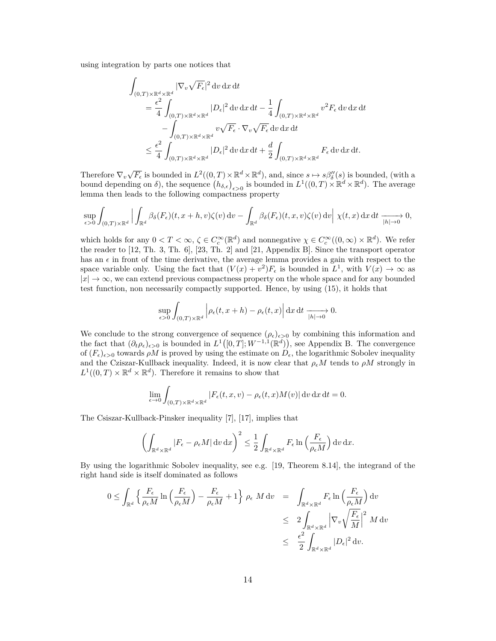using integration by parts one notices that

$$
\int_{(0,T)\times\mathbb{R}^d\times\mathbb{R}^d} |\nabla_v \sqrt{F_{\epsilon}}|^2 \, \mathrm{d}v \, \mathrm{d}x \, \mathrm{d}t \n= \frac{\epsilon^2}{4} \int_{(0,T)\times\mathbb{R}^d\times\mathbb{R}^d} |D_{\epsilon}|^2 \, \mathrm{d}v \, \mathrm{d}x \, \mathrm{d}t - \frac{1}{4} \int_{(0,T)\times\mathbb{R}^d\times\mathbb{R}^d} v^2 F_{\epsilon} \, \mathrm{d}v \, \mathrm{d}x \, \mathrm{d}t \n- \int_{(0,T)\times\mathbb{R}^d\times\mathbb{R}^d} v \sqrt{F_{\epsilon}} \cdot \nabla_v \sqrt{F_{\epsilon}} \, \mathrm{d}v \, \mathrm{d}x \, \mathrm{d}t \n\leq \frac{\epsilon^2}{4} \int_{(0,T)\times\mathbb{R}^d\times\mathbb{R}^d} |D_{\epsilon}|^2 \, \mathrm{d}v \, \mathrm{d}x \, \mathrm{d}t + \frac{d}{2} \int_{(0,T)\times\mathbb{R}^d\times\mathbb{R}^d} F_{\epsilon} \, \mathrm{d}v \, \mathrm{d}x \, \mathrm{d}t.
$$

Therefore  $\nabla_v \sqrt{F_{\epsilon}}$  is bounded in  $L^2((0,T) \times \mathbb{R}^d \times \mathbb{R}^d)$ , and, since  $s \mapsto s\beta_{\delta}''(s)$  is bounded, (with a bound depending on  $\delta$ ), the sequence  $(h_{\delta,\epsilon})_{\epsilon>0}$  is bounded in  $L^1((0,T)\times\mathbb{R}^d\times\mathbb{R}^d)$ . The average lemma then leads to the following compactness property

$$
\sup_{\epsilon>0}\int_{(0,T)\times\mathbb{R}^d}\Big|\int_{\mathbb{R}^d}\beta_\delta(F_\epsilon)(t,x+h,v)\zeta(v)\,\mathrm{d} v-\int_{\mathbb{R}^d}\beta_\delta(F_\epsilon)(t,x,v)\zeta(v)\,\mathrm{d} v\Big|\;\chi(t,x)\,\mathrm{d} x\,\mathrm{d} t\xrightarrow[|h|\to0]{}0,
$$

which holds for any  $0 < T < \infty$ ,  $\zeta \in C_c^{\infty}(\mathbb{R}^d)$  and nonnegative  $\chi \in C_c^{\infty}((0,\infty) \times \mathbb{R}^d)$ . We refer the reader to [12, Th. 3, Th. 6], [23, Th. 2] and [21, Appendix B]. Since the transport operator has an  $\epsilon$  in front of the time derivative, the average lemma provides a gain with respect to the space variable only. Using the fact that  $(V(x) + v^2)F_{\epsilon}$  is bounded in  $L^1$ , with  $V(x) \to \infty$  as  $|x| \to \infty$ , we can extend previous compactness property on the whole space and for any bounded test function, non necessarily compactly supported. Hence, by using (15), it holds that

$$
\sup_{\epsilon>0}\int_{(0,T)\times\mathbb{R}^d}\left|\rho_{\epsilon}(t,x+h)-\rho_{\epsilon}(t,x)\right|\mathrm{d} x\,\mathrm{d} t\xrightarrow[|h|\to 0]{} 0.
$$

We conclude to the strong convergence of sequence  $(\rho_{\epsilon})_{\epsilon>0}$  by combining this information and the fact that  $(\partial_t \rho_{\epsilon})_{\epsilon>0}$  is bounded in  $L^1([0,T]; W^{-1,1}(\mathbb{R}^d))$ , see Appendix B. The convergence of  $(F_{\epsilon})_{\epsilon>0}$  towards  $\rho M$  is proved by using the estimate on  $D_{\epsilon}$ , the logarithmic Sobolev inequality and the Cziszar-Kullback inequality. Indeed, it is now clear that  $\rho_{\epsilon}M$  tends to  $\rho M$  strongly in  $L^1((0,T) \times \mathbb{R}^d \times \mathbb{R}^d)$ . Therefore it remains to show that

$$
\lim_{\epsilon \to 0} \int_{(0,T) \times \mathbb{R}^d \times \mathbb{R}^d} |F_{\epsilon}(t,x,v) - \rho_{\epsilon}(t,x)M(v)| \, \mathrm{d}v \, \mathrm{d}x \, \mathrm{d}t = 0.
$$

The Csiszar-Kullback-Pinsker inequality [7], [17], implies that

$$
\left(\int_{\mathbb{R}^d\times\mathbb{R}^d}|F_{\epsilon}-\rho_{\epsilon}M|\,\mathrm{d} v\,\mathrm{d} x\right)^2\leq\frac{1}{2}\int_{\mathbb{R}^d\times\mathbb{R}^d}F_{\epsilon}\ln\left(\frac{F_{\epsilon}}{\rho_{\epsilon}M}\right)\mathrm{d} v\,\mathrm{d} x.
$$

By using the logarithmic Sobolev inequality, see e.g. [19, Theorem 8.14], the integrand of the right hand side is itself dominated as follows

$$
0 \leq \int_{\mathbb{R}^d} \left\{ \frac{F_{\epsilon}}{\rho_{\epsilon} M} \ln \left( \frac{F_{\epsilon}}{\rho_{\epsilon} M} \right) - \frac{F_{\epsilon}}{\rho_{\epsilon} M} + 1 \right\} \rho_{\epsilon} M \, \mathrm{d}v = \int_{\mathbb{R}^d \times \mathbb{R}^d} F_{\epsilon} \ln \left( \frac{F_{\epsilon}}{\rho_{\epsilon} M} \right) \mathrm{d}v
$$
  

$$
\leq 2 \int_{\mathbb{R}^d \times \mathbb{R}^d} \left| \nabla_v \sqrt{\frac{F_{\epsilon}}{M}} \right|^2 M \, \mathrm{d}v
$$
  

$$
\leq \frac{\epsilon^2}{2} \int_{\mathbb{R}^d \times \mathbb{R}^d} |D_{\epsilon}|^2 \, \mathrm{d}v.
$$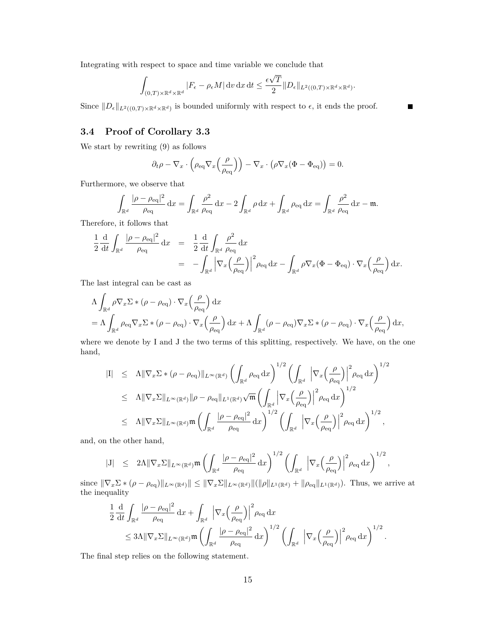Integrating with respect to space and time variable we conclude that

$$
\int_{(0,T)\times\mathbb{R}^d\times\mathbb{R}^d} |F_{\epsilon}-\rho_{\epsilon}M|\,\mathrm{d} v\,\mathrm{d} x\,\mathrm{d} t\leq \frac{\epsilon\sqrt{T}}{2}||D_{\epsilon}||_{L^2((0,T)\times\mathbb{R}^d\times\mathbb{R}^d)}.
$$

 $\blacksquare$ 

Since  $||D_{\epsilon}||_{L^2((0,T)\times\mathbb{R}^d\times\mathbb{R}^d)}$  is bounded uniformly with respect to  $\epsilon$ , it ends the proof.

#### **3.4 Proof of Corollary 3.3**

We start by rewriting (9) as follows

$$
\partial_t \rho - \nabla_x \cdot \left( \rho_{\text{eq}} \nabla_x \left( \frac{\rho}{\rho_{\text{eq}}} \right) \right) - \nabla_x \cdot \left( \rho \nabla_x (\Phi - \Phi_{\text{eq}}) \right) = 0.
$$

Furthermore, we observe that

$$
\int_{\mathbb{R}^d} \frac{|\rho - \rho_{\text{eq}}|^2}{\rho_{\text{eq}}} \, \mathrm{d}x = \int_{\mathbb{R}^d} \frac{\rho^2}{\rho_{\text{eq}}} \, \mathrm{d}x - 2 \int_{\mathbb{R}^d} \rho \, \mathrm{d}x + \int_{\mathbb{R}^d} \rho_{\text{eq}} \, \mathrm{d}x = \int_{\mathbb{R}^d} \frac{\rho^2}{\rho_{\text{eq}}} \, \mathrm{d}x - \mathfrak{m}.
$$

Therefore, it follows that

$$
\frac{1}{2} \frac{d}{dt} \int_{\mathbb{R}^d} \frac{|\rho - \rho_{\text{eq}}|^2}{\rho_{\text{eq}}} dx = \frac{1}{2} \frac{d}{dt} \int_{\mathbb{R}^d} \frac{\rho^2}{\rho_{\text{eq}}} dx
$$
  

$$
= - \int_{\mathbb{R}^d} \left| \nabla_x \left( \frac{\rho}{\rho_{\text{eq}}} \right) \right|^2 \rho_{\text{eq}} dx - \int_{\mathbb{R}^d} \rho \nabla_x (\Phi - \Phi_{\text{eq}}) \cdot \nabla_x \left( \frac{\rho}{\rho_{\text{eq}}} \right) dx.
$$

The last integral can be cast as

$$
\Lambda \int_{\mathbb{R}^d} \rho \nabla_x \Sigma * (\rho - \rho_{\text{eq}}) \cdot \nabla_x \left(\frac{\rho}{\rho_{\text{eq}}} \right) dx \n= \Lambda \int_{\mathbb{R}^d} \rho_{\text{eq}} \nabla_x \Sigma * (\rho - \rho_{\text{eq}}) \cdot \nabla_x \left(\frac{\rho}{\rho_{\text{eq}}} \right) dx + \Lambda \int_{\mathbb{R}^d} (\rho - \rho_{\text{eq}}) \nabla_x \Sigma * (\rho - \rho_{\text{eq}}) \cdot \nabla_x \left(\frac{\rho}{\rho_{\text{eq}}} \right) dx,
$$

where we denote by I and J the two terms of this splitting, respectively. We have, on the one hand,

$$
\begin{array}{lll} |I| & \leq & \Lambda \|\nabla_x \Sigma * (\rho - \rho_{\rm eq})\|_{L^\infty(\mathbb{R}^d)} \left(\int_{\mathbb{R}^d} \rho_{\rm eq} \, dx\right)^{1/2} \left(\int_{\mathbb{R}^d} \left|\nabla_x \left(\frac{\rho}{\rho_{\rm eq}}\right)\right|^2 \rho_{\rm eq} \, dx\right)^{1/2} \\ & \leq & \Lambda \|\nabla_x \Sigma\|_{L^\infty(\mathbb{R}^d)} \|\rho - \rho_{\rm eq}\|_{L^1(\mathbb{R}^d)} \sqrt{\mathfrak{m}} \left(\int_{\mathbb{R}^d} \left|\nabla_x \left(\frac{\rho}{\rho_{\rm eq}}\right)\right|^2 \rho_{\rm eq} \, dx\right)^{1/2} \\ & \leq & \Lambda \|\nabla_x \Sigma\|_{L^\infty(\mathbb{R}^d)} \mathfrak{m} \left(\int_{\mathbb{R}^d} \frac{|\rho - \rho_{\rm eq}|^2}{\rho_{\rm eq}} \, dx\right)^{1/2} \left(\int_{\mathbb{R}^d} \left|\nabla_x \left(\frac{\rho}{\rho_{\rm eq}}\right)\right|^2 \rho_{\rm eq} \, dx\right)^{1/2}, \end{array}
$$

and, on the other hand,

$$
|J| \leq 2\Lambda \|\nabla_x \Sigma\|_{L^\infty(\mathbb{R}^d)} \mathfrak{m}\left(\int_{\mathbb{R}^d} \frac{|\rho - \rho_{\rm eq}|^2}{\rho_{\rm eq}} dx\right)^{1/2} \left(\int_{\mathbb{R}^d} \left|\nabla_x \left(\frac{\rho}{\rho_{\rm eq}}\right)\right|^2 \rho_{\rm eq} dx\right)^{1/2},
$$

since  $\|\nabla_x \Sigma * (\rho - \rho_{\text{eq}})\|_{L^\infty(\mathbb{R}^d)} \le \|\nabla_x \Sigma\|_{L^\infty(\mathbb{R}^d)} \|\|\rho\|_{L^1(\mathbb{R}^d)} + \|\rho_{\text{eq}}\|_{L^1(\mathbb{R}^d)}).$  Thus, we arrive at the inequality

$$
\frac{1}{2} \frac{d}{dt} \int_{\mathbb{R}^d} \frac{|\rho - \rho_{\text{eq}}|^2}{\rho_{\text{eq}}} dx + \int_{\mathbb{R}^d} \left| \nabla_x \left( \frac{\rho}{\rho_{\text{eq}}} \right) \right|^2 \rho_{\text{eq}} dx \n\leq 3\Lambda \|\nabla_x \Sigma\|_{L^\infty(\mathbb{R}^d)} \mathfrak{m} \left( \int_{\mathbb{R}^d} \frac{|\rho - \rho_{\text{eq}}|^2}{\rho_{\text{eq}}} dx \right)^{1/2} \left( \int_{\mathbb{R}^d} \left| \nabla_x \left( \frac{\rho}{\rho_{\text{eq}}} \right) \right|^2 \rho_{\text{eq}} dx \right)^{1/2}.
$$

The final step relies on the following statement.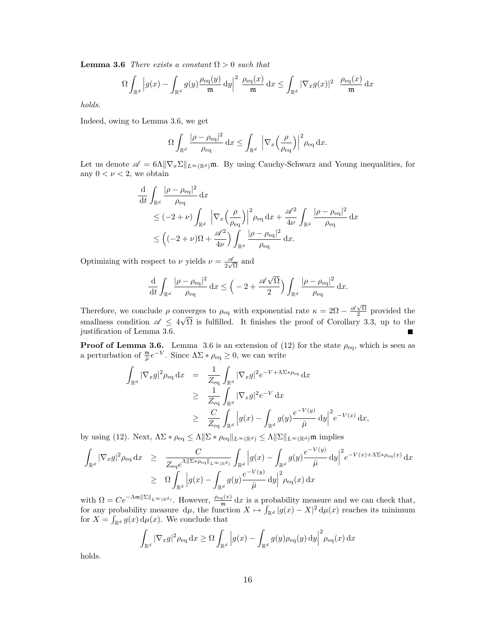**Lemma 3.6** *There exists a constant*  $\Omega > 0$  *such that* 

$$
\Omega \int_{\mathbb{R}^d} \left| g(x) - \int_{\mathbb{R}^d} g(y) \frac{\rho_{\text{eq}}(y)}{\mathfrak{m}} \, \text{d}y \right|^2 \, \frac{\rho_{\text{eq}}(x)}{\mathfrak{m}} \, \text{d}x \le \int_{\mathbb{R}^d} |\nabla_x g(x)|^2 \, \frac{\rho_{\text{eq}}(x)}{\mathfrak{m}} \, \text{d}x
$$

*holds.*

Indeed, owing to Lemma 3.6, we get

$$
\Omega \int_{\mathbb{R}^d} \frac{|\rho - \rho_{\text{eq}}|^2}{\rho_{\text{eq}}} \, dx \le \int_{\mathbb{R}^d} \left| \nabla_x \left( \frac{\rho}{\rho_{\text{eq}}} \right) \right|^2 \rho_{\text{eq}} \, dx.
$$

Let us denote  $\mathscr{A} = 6\Lambda \|\nabla_x \Sigma\|_{L^\infty(\mathbb{R}^d)}$ m. By using Cauchy-Schwarz and Young inequalities, for any  $0 < \nu < 2$ , we obtain

$$
\frac{\mathrm{d}}{\mathrm{d}t} \int_{\mathbb{R}^d} \frac{|\rho - \rho_{\text{eq}}|^2}{\rho_{\text{eq}}} \, \mathrm{d}x \n\le (-2+\nu) \int_{\mathbb{R}^d} \left| \nabla_x \left( \frac{\rho}{\rho_{\text{eq}}} \right) \right|^2 \rho_{\text{eq}} \, \mathrm{d}x + \frac{\mathscr{A}^2}{4\nu} \int_{\mathbb{R}^d} \frac{|\rho - \rho_{\text{eq}}|^2}{\rho_{\text{eq}}} \, \mathrm{d}x \n\le \left( (-2+\nu)\Omega + \frac{\mathscr{A}^2}{4\nu} \right) \int_{\mathbb{R}^d} \frac{|\rho - \rho_{\text{eq}}|^2}{\rho_{\text{eq}}} \, \mathrm{d}x.
$$

Optimizing with respect to  $\nu$  yields  $\nu = \frac{d\omega}{2\pi}$  $\frac{\mathscr{A}}{2\sqrt{\Omega}}$  and

$$
\frac{\mathrm{d}}{\mathrm{d}t} \int_{\mathbb{R}^d} \frac{|\rho - \rho_{\text{eq}}|^2}{\rho_{\text{eq}}} \, \mathrm{d}x \le \left( -2 + \frac{\mathscr{A}\sqrt{\Omega}}{2} \right) \int_{\mathbb{R}^d} \frac{|\rho - \rho_{\text{eq}}|^2}{\rho_{\text{eq}}} \, \mathrm{d}x.
$$

Therefore, we conclude  $\rho$  converges to  $\rho_{eq}$  with exponential rate  $\kappa = 2\Omega - \frac{\mathscr{A}\sqrt{\Omega}}{2}$  provided the smallness condition  $\mathscr{A} \leq 4$ √  $\Omega$  is fulfilled. It finishes the proof of Corollary 3.3, up to the justification of Lemma 3.6.

**Proof of Lemma 3.6.** Lemma 3.6 is an extension of  $(12)$  for the state  $\rho_{eq}$ , which is seen as a perturbation of  $\frac{m}{\overline{\mu}}e^{-V}$ . Since  $\Lambda \Sigma * \rho_{\text{eq}} \geq 0$ , we can write

$$
\int_{\mathbb{R}^d} |\nabla_x g|^2 \rho_{\text{eq}} \, dx = \frac{1}{Z_{\text{eq}}} \int_{\mathbb{R}^d} |\nabla_x g|^2 e^{-V + \Lambda \Sigma * \rho_{\text{eq}}} dx
$$
\n
$$
\geq \frac{1}{Z_{\text{eq}}} \int_{\mathbb{R}^d} |\nabla_x g|^2 e^{-V} \, dx
$$
\n
$$
\geq \frac{C}{Z_{\text{eq}}} \int_{\mathbb{R}^d} |g(x) - \int_{\mathbb{R}^d} g(y) \frac{e^{-V(y)}}{\bar{\mu}} \, dy \Big|^2 e^{-V(x)} \, dx,
$$

by using (12). Next,  $\Lambda \Sigma * \rho_{eq} \leq \Lambda \|\Sigma * \rho_{eq}\|_{L^{\infty}(\mathbb{R}^d)} \leq \Lambda \|\Sigma\|_{L^{\infty}(\mathbb{R}^d)}$  m implies

$$
\int_{\mathbb{R}^d} |\nabla_x g|^2 \rho_{\text{eq}} \, dx \geq \frac{C}{Z_{\text{eq}} e^{\Lambda ||\Sigma * \rho_{\text{eq}}||_{L^{\infty}(\mathbb{R}^d)}}} \int_{\mathbb{R}^d} \left| g(x) - \int_{\mathbb{R}^d} g(y) \frac{e^{-V(y)}}{\bar{\mu}} \, dy \right|^2 e^{-V(x) + \Lambda \Sigma * \rho_{\text{eq}}(x)} \, dx
$$
\n
$$
\geq \Omega \int_{\mathbb{R}^d} \left| g(x) - \int_{\mathbb{R}^d} g(y) \frac{e^{-V(y)}}{\bar{\mu}} \, dy \right|^2 \rho_{\text{eq}}(x) \, dx
$$

with  $\Omega = Ce^{-\Lambda m \|\Sigma\|_{L^{\infty}(\mathbb{R}^d)}}$ . However,  $\frac{\rho_{\text{eq}}(x)}{m} dx$  is a probability measure and we can check that, for any probability measure  $d\mu$ , the function  $X \mapsto \int_{\mathbb{R}^d} |g(x) - X|^2 d\mu(x)$  reaches its minimum for  $X = \int_{\mathbb{R}^d} g(x) d\mu(x)$ . We conclude that

$$
\int_{\mathbb{R}^d} |\nabla_x g|^2 \rho_{\text{eq}} \, dx \ge \Omega \int_{\mathbb{R}^d} \left| g(x) - \int_{\mathbb{R}^d} g(y) \rho_{\text{eq}}(y) \, dy \right|^2 \rho_{\text{eq}}(x) \, dx
$$

holds.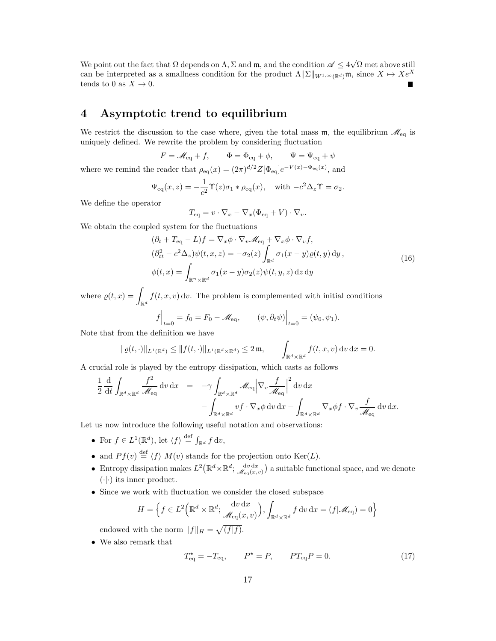√ We point out the fact that  $\Omega$  depends on  $\Lambda$ ,  $\Sigma$  and  $\mathfrak{m}$ , and the condition  $\mathscr{A} \leq 4$ Ω met above still can be interpreted as a smallness condition for the product  $\Lambda \|\Sigma\|_{W^{1,\infty}(\mathbb{R}^d)} \mathfrak{m}$ , since  $X \mapsto Xe^X$ tends to 0 as  $X \to 0$ . П

## **4 Asymptotic trend to equilibrium**

We restrict the discussion to the case where, given the total mass  $m$ , the equilibrium  $\mathcal{M}_{eq}$  is uniquely defined. We rewrite the problem by considering fluctuation

$$
F = \mathcal{M}_{eq} + f, \qquad \Phi = \Phi_{eq} + \phi, \qquad \Psi = \Psi_{eq} + \psi
$$
  
need on that a. (a)  $(2\pi)^{d/2}Z[\Phi_{eq}]_{q} = V(x) - \Phi_{eq}(x)$  are

where we remind the reader that  $\rho_{eq}(x) = (2\pi)^{d/2} Z[\Phi_{eq}]e^{-V(x) - \Phi_{eq}(x)}$ , and

$$
\Psi_{\text{eq}}(x,z) = -\frac{1}{c^2} \Upsilon(z) \sigma_1 * \rho_{\text{eq}}(x), \quad \text{with } -c^2 \Delta_z \Upsilon = \sigma_2.
$$

We define the operator

$$
T_{\text{eq}} = v \cdot \nabla_x - \nabla_x (\Phi_{\text{eq}} + V) \cdot \nabla_v.
$$

We obtain the coupled system for the fluctuations

$$
(\partial_t + T_{\text{eq}} - L)f = \nabla_x \phi \cdot \nabla_v \mathcal{M}_{\text{eq}} + \nabla_x \phi \cdot \nabla_v f,
$$
  
\n
$$
(\partial_{tt}^2 - c^2 \Delta_z) \psi(t, x, z) = -\sigma_2(z) \int_{\mathbb{R}^d} \sigma_1(x - y) \varrho(t, y) \, dy,
$$
  
\n
$$
\phi(t, x) = \int_{\mathbb{R}^n \times \mathbb{R}^d} \sigma_1(x - y) \sigma_2(z) \psi(t, y, z) \, dz \, dy
$$
\n(16)

where  $\varrho(t,x) = \int_{\mathbb{R}^d} f(t,x,v) dv$ . The problem is complemented with initial conditions

$$
f\Big|_{t=0} = f_0 = F_0 - \mathcal{M}_{\text{eq}}, \qquad (\psi, \partial_t \psi)\Big|_{t=0} = (\psi_0, \psi_1).
$$

Note that from the definition we have

$$
\|\varrho(t,\cdot)\|_{L^1(\mathbb{R}^d)} \le \|f(t,\cdot)\|_{L^1(\mathbb{R}^d \times \mathbb{R}^d)} \le 2\,\mathfrak{m}, \qquad \int_{\mathbb{R}^d \times \mathbb{R}^d} f(t,x,v) \, \mathrm{d}v \, \mathrm{d}x = 0.
$$

A crucial role is played by the entropy dissipation, which casts as follows

$$
\frac{1}{2} \frac{d}{dt} \int_{\mathbb{R}^d \times \mathbb{R}^d} \frac{f^2}{\mathcal{M}_{\text{eq}}} dv \, dx = -\gamma \int_{\mathbb{R}^d \times \mathbb{R}^d} \mathcal{M}_{\text{eq}} \left| \nabla_v \frac{f}{\mathcal{M}_{\text{eq}}} \right|^2 dv \, dx \n- \int_{\mathbb{R}^d \times \mathbb{R}^d} vf \cdot \nabla_x \phi dv \, dx - \int_{\mathbb{R}^d \times \mathbb{R}^d} \nabla_x \phi f \cdot \nabla_v \frac{f}{\mathcal{M}_{\text{eq}}} dv \, dx.
$$

Let us now introduce the following useful notation and observations:

- For  $f \in L^1(\mathbb{R}^d)$ , let  $\langle f \rangle \stackrel{\text{def}}{=} \int_{\mathbb{R}^d} f \, \mathrm{d}v$ ,
- and  $Pf(v) \stackrel{\text{def}}{=} \langle f \rangle M(v)$  stands for the projection onto Ker(*L*).
- **•** Entropy dissipation makes  $L^2(\mathbb{R}^d \times \mathbb{R}^d; \frac{dv \, dx}{\mathcal{M}_{eq}(x,v)})$  a suitable functional space, and we denote  $(\cdot|\cdot)$  its inner product.
- Since we work with fluctuation we consider the closed subspace

$$
H = \left\{ f \in L^2\Big(\mathbb{R}^d \times \mathbb{R}^d; \frac{\mathrm{d}v \, \mathrm{d}x}{\mathcal{M}_{\text{eq}}(x,v)} \Big), \int_{\mathbb{R}^d \times \mathbb{R}^d} f \, \mathrm{d}v \, \mathrm{d}x = (f | \mathcal{M}_{\text{eq}}) = 0 \right\}
$$

endowed with the norm  $||f||_H = \sqrt{(f|f)}$ .

• We also remark that

$$
T_{\text{eq}}^* = -T_{\text{eq}}, \qquad P^* = P, \qquad PT_{\text{eq}}P = 0. \tag{17}
$$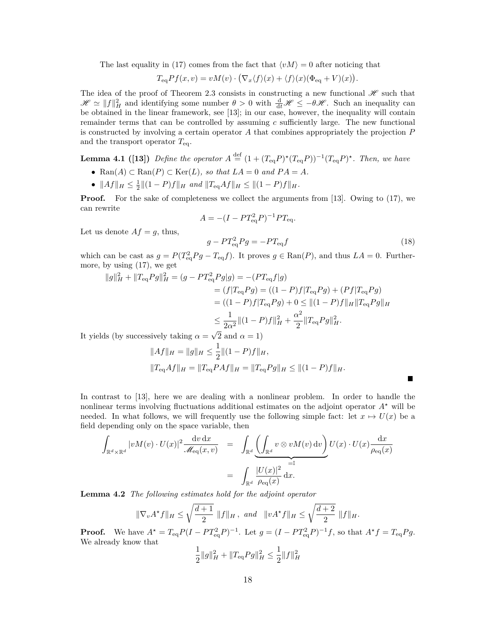The last equality in (17) comes from the fact that  $\langle vM \rangle = 0$  after noticing that

$$
T_{\text{eq}}Pf(x,v) = vM(v) \cdot (\nabla_x \langle f \rangle(x) + \langle f \rangle(x)(\Phi_{\text{eq}} + V)(x)).
$$

The idea of the proof of Theorem 2.3 consists in constructing a new functional  $\mathscr H$  such that  $\mathscr{H} \simeq ||f||_H^2$  and identifying some number  $\theta > 0$  with  $\frac{d}{dt}\mathscr{H} \leq -\theta\mathscr{H}$ . Such an inequality can be obtained in the linear framework, see [13]; in our case, however, the inequality will contain remainder terms that can be controlled by assuming *c* sufficiently large. The new functional is constructed by involving a certain operator *A* that combines appropriately the projection *P* and the transport operator *T*eq.

**Lemma 4.1 ([13])** Define the operator  $A \stackrel{\text{def}}{=} (1 + (T_{eq}P)^*(T_{eq}P))^{-1}(T_{eq}P)^*$ . Then, we have

- Ran( $A$ ) ⊂ Ran( $P$ ) ⊂ Ker( $L$ )*, so that*  $LA = 0$  *and*  $PA = A$ *.*
- $\bullet$   $||Af||_H \leq \frac{1}{2}||(1-P)f||_H$  and  $||T_{eq}Af||_H \leq ||(1-P)f||_H$ .

**Proof.** For the sake of completeness we collect the arguments from [13]. Owing to (17), we can rewrite

$$
A = -(I - PT_{\text{eq}}^2 P)^{-1} PT_{\text{eq}}.
$$

Let us denote  $Af = g$ , thus,

$$
g - PT_{\text{eq}}^2 P g = -PT_{\text{eq}} f \tag{18}
$$

П

which can be cast as  $g = P(T_{eq}^2 P g - T_{eq} f)$ . It proves  $g \in \text{Ran}(P)$ , and thus  $LA = 0$ . Furthermore, by using (17), we get

$$
||g||_H^2 + ||T_{\text{eq}}Pg||_H^2 = (g - PT_{\text{eq}}^2Pg|g) = -(PT_{\text{eq}}f|g)
$$
  
\n
$$
= (f|T_{\text{eq}}Pg) = ((1 - P)f|T_{\text{eq}}Pg) + (Pf|T_{\text{eq}}Pg)
$$
  
\n
$$
= ((1 - P)f|T_{\text{eq}}Pg) + 0 \le ||(1 - P)f||_H ||T_{\text{eq}}Pg||_H
$$
  
\n
$$
\le \frac{1}{2\alpha^2} ||(1 - P)f||_H^2 + \frac{\alpha^2}{2} ||T_{\text{eq}}Pg||_H^2.
$$

It yields (by successively taking  $\alpha =$ 2 and  $\alpha = 1$ )

$$
||Af||_H = ||g||_H \le \frac{1}{2} ||(1 - P)f||_H,
$$
  

$$
||T_{eq}Af||_H = ||T_{eq}PAf||_H = ||T_{eq}Pg||_H \le ||(1 - P)f||_H.
$$

In contrast to [13], here we are dealing with a nonlinear problem. In order to handle the nonlinear terms involving fluctuations additional estimates on the adjoint operator *A?* will be needed. In what follows, we will frequently use the following simple fact: let  $x \mapsto U(x)$  be a field depending only on the space variable, then

$$
\int_{\mathbb{R}^d \times \mathbb{R}^d} |v M(v) \cdot U(x)|^2 \frac{dv dx}{\mathscr{M}_{eq}(x,v)} = \int_{\mathbb{R}^d} \underbrace{\left(\int_{\mathbb{R}^d} v \otimes v M(v) dv\right)}_{= \mathbb{I}} U(x) \cdot U(x) \frac{dx}{\rho_{eq}(x)}
$$
\n
$$
= \int_{\mathbb{R}^d} \frac{|U(x)|^2}{\rho_{eq}(x)} dx.
$$

**Lemma 4.2** *The following estimates hold for the adjoint operator*

$$
\|\nabla_v A^* f\|_H \le \sqrt{\frac{d+1}{2}} \|f\|_H \,, \text{ and } \|v A^* f\|_H \le \sqrt{\frac{d+2}{2}} \|f\|_H.
$$

**Proof.** We have  $A^* = T_{eq}P(I - PT_{eq}^2P)^{-1}$ . Let  $g = (I - PT_{eq}^2P)^{-1}f$ , so that  $A^*f = T_{eq}Pg$ . We already know that

$$
\frac{1}{2}||g||_H^2 + ||T_{\text{eq}}Pg||_H^2 \le \frac{1}{2}||f||_H^2
$$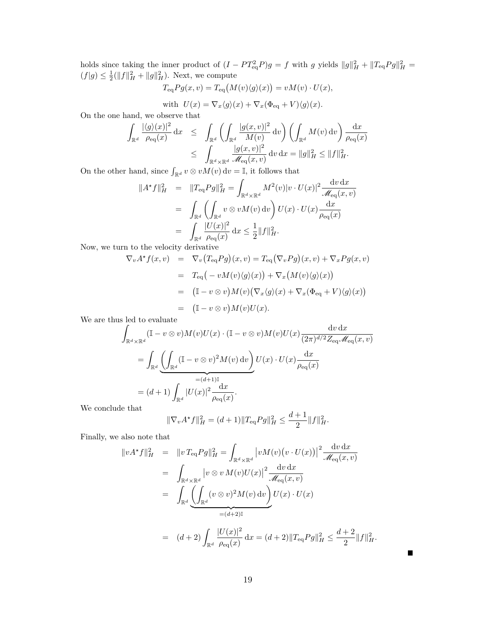holds since taking the inner product of  $(I - PT_{eq}^2P)g = f$  with *g* yields  $||g||_H^2 + ||T_{eq}Pg||_H^2 =$  $(f|g) \leq \frac{1}{2}(\|f\|_H^2 + \|g\|_H^2)$ . Next, we compute

$$
T_{\text{eq}}Pg(x,v) = T_{\text{eq}}(M(v)\langle g\rangle(x)) = vM(v) \cdot U(x),
$$

with 
$$
U(x) = \nabla_x \langle g \rangle(x) + \nabla_x (\Phi_{\text{eq}} + V) \langle g \rangle(x)
$$
.

On the one hand, we observe that

$$
\int_{\mathbb{R}^d} \frac{|\langle g \rangle(x)|^2}{\rho_{\text{eq}}(x)} dx \leq \int_{\mathbb{R}^d} \left( \int_{\mathbb{R}^d} \frac{|g(x,v)|^2}{M(v)} dv \right) \left( \int_{\mathbb{R}^d} M(v) dv \right) \frac{dx}{\rho_{\text{eq}}(x)} \leq \int_{\mathbb{R}^d \times \mathbb{R}^d} \frac{|g(x,v)|^2}{\mathcal{M}_{\text{eq}}(x,v)} dv dx = ||g||_H^2 \leq ||f||_H^2.
$$

On the other hand, since  $\int_{\mathbb{R}^d} v \otimes v M(v) dv = \mathbb{I}$ , it follows that

$$
||A^{\star}f||_{H}^{2} = ||T_{\text{eq}}Pg||_{H}^{2} = \int_{\mathbb{R}^{d} \times \mathbb{R}^{d}} M^{2}(v)|v \cdot U(x)|^{2} \frac{dv dx}{\mathcal{M}_{\text{eq}}(x,v)}
$$
  

$$
= \int_{\mathbb{R}^{d}} \left( \int_{\mathbb{R}^{d}} v \otimes v M(v) dv \right) U(x) \cdot U(x) \frac{dx}{\rho_{\text{eq}}(x)}
$$
  

$$
= \int_{\mathbb{R}^{d}} \frac{|U(x)|^{2}}{\rho_{\text{eq}}(x)} dx \leq \frac{1}{2} ||f||_{H}^{2}.
$$

Now, we turn to the velocity derivative

$$
\nabla_v A^* f(x, v) = \nabla_v (T_{eq} P g)(x, v) = T_{eq} (\nabla_v P g)(x, v) + \nabla_x P g(x, v)
$$
  
\n
$$
= T_{eq} (-v M(v) \langle g \rangle(x)) + \nabla_x (M(v) \langle g \rangle(x))
$$
  
\n
$$
= (\mathbb{I} - v \otimes v) M(v) (\nabla_x \langle g \rangle(x) + \nabla_x (\Phi_{eq} + V) \langle g \rangle(x))
$$
  
\n
$$
= (\mathbb{I} - v \otimes v) M(v) U(x).
$$

We are thus led to evaluate

$$
\int_{\mathbb{R}^d \times \mathbb{R}^d} (\mathbb{I} - v \otimes v) M(v) U(x) \cdot (\mathbb{I} - v \otimes v) M(v) U(x) \frac{dv dx}{(2\pi)^{d/2} Z_{eq} \mathcal{M}_{eq}(x, v)}
$$
\n
$$
= \int_{\mathbb{R}^d} \underbrace{\left( \int_{\mathbb{R}^d} (\mathbb{I} - v \otimes v)^2 M(v) dv \right)}_{= (d+1) \mathbb{I}} U(x) \cdot U(x) \frac{dx}{\rho_{eq}(x)}
$$
\n
$$
= (d+1) \int_{\mathbb{R}^d} |U(x)|^2 \frac{dx}{\rho_{eq}(x)}.
$$
\nIn that

We conclude that

$$
\|\nabla_v A^* f\|_H^2 = (d+1) \|T_{\text{eq}} P g\|_H^2 \le \frac{d+1}{2} \|f\|_H^2.
$$

Finally, we also note that

$$
||vA^*f||_H^2 = ||vT_{eq}Pg||_H^2 = \int_{\mathbb{R}^d \times \mathbb{R}^d} |vM(v)(v \cdot U(x))|^2 \frac{dv dx}{\mathcal{M}_{eq}(x,v)}
$$
  
\n
$$
= \int_{\mathbb{R}^d \times \mathbb{R}^d} |v \otimes v M(v)U(x)|^2 \frac{dv dx}{\mathcal{M}_{eq}(x,v)}
$$
  
\n
$$
= \int_{\mathbb{R}^d} \underbrace{\left(\int_{\mathbb{R}^d} (v \otimes v)^2 M(v) dv\right)}_{=(d+2)\mathbb{I}} U(x) \cdot U(x)
$$
  
\n
$$
= (d+2) \int_{\mathbb{R}^d} \frac{|U(x)|^2}{\rho_{eq}(x)} dx = (d+2)||T_{eq}Pg||_H^2 \le \frac{d+2}{2} ||f||_H^2.
$$

 $\blacksquare$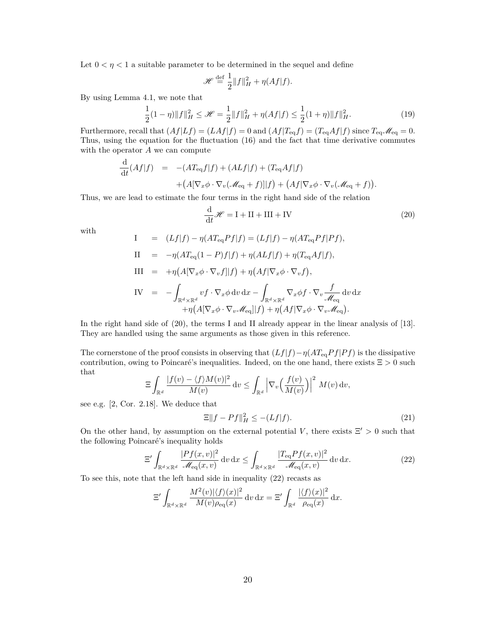Let  $0 < \eta < 1$  a suitable parameter to be determined in the sequel and define

$$
\mathscr{H} \stackrel{\text{def}}{=} \frac{1}{2} ||f||_H^2 + \eta(Af|f).
$$

By using Lemma 4.1, we note that

$$
\frac{1}{2}(1-\eta)\|f\|_{H}^{2} \le \mathcal{H} = \frac{1}{2}\|f\|_{H}^{2} + \eta(Af|f) \le \frac{1}{2}(1+\eta)\|f\|_{H}^{2}.
$$
\n(19)

Furthermore, recall that  $(Af|Lf) = (LAf|f) = 0$  and  $(Af|T_{eq}f) = (T_{eq}Af|f)$  since  $T_{eq} \mathscr{M}_{eq} = 0$ . Thus, using the equation for the fluctuation (16) and the fact that time derivative commutes with the operator *A* we can compute

$$
\frac{\mathrm{d}}{\mathrm{d}t}(Af|f) = -(AT_{\text{eq}}f|f) + (ALf|f) + (T_{\text{eq}}Af|f) \n+ (A[\nabla_x \phi \cdot \nabla_v(\mathcal{M}_{\text{eq}} + f)]]f) + (Af|\nabla_x \phi \cdot \nabla_v(\mathcal{M}_{\text{eq}} + f)).
$$

Thus, we are lead to estimate the four terms in the right hand side of the relation

$$
\frac{\mathrm{d}}{\mathrm{d}t}\mathcal{H} = \mathrm{I} + \mathrm{II} + \mathrm{III} + \mathrm{IV}
$$
\n(20)

with

I = 
$$
(Lf|f) - \eta(AT_{eq}Pf|f) = (Lf|f) - \eta(AT_{eq}Pf|Pf),
$$
  
\nII =  $-\eta(AT_{eq}(1-P)f|f) + \eta(ALf|f) + \eta(T_{eq}Af|f),$   
\nIII =  $+\eta(A[\nabla_x \phi \cdot \nabla_v f]|f) + \eta(Af|\nabla_x \phi \cdot \nabla_v f),$   
\nIV =  $-\int_{\mathbb{R}^d \times \mathbb{R}^d} vf \cdot \nabla_x \phi dv dx - \int_{\mathbb{R}^d \times \mathbb{R}^d} \nabla_x \phi f \cdot \nabla_v \frac{f}{\mathcal{M}_{eq}} dv dx$   
\n $+\eta(A[\nabla_x \phi \cdot \nabla_v \mathcal{M}_{eq}][f) + \eta(A[\nabla_x \phi \cdot \nabla_v \mathcal{M}_{eq}].$ 

In the right hand side of (20), the terms I and II already appear in the linear analysis of [13]. They are handled using the same arguments as those given in this reference.

The cornerstone of the proof consists in observing that  $(Lf|f) - \eta (AT_{eq}Pf|Pf)$  is the dissipative contribution, owing to Poincaré's inequalities. Indeed, on the one hand, there exists Ξ *>* 0 such that

$$
\Xi \int_{\mathbb{R}^d} \frac{|f(v) - \langle f \rangle M(v)|^2}{M(v)} \, \mathrm{d}v \le \int_{\mathbb{R}^d} \left| \nabla_v \left( \frac{f(v)}{M(v)} \right) \right|^2 \, M(v) \, \mathrm{d}v,
$$

see e.g. [2, Cor. 2.18]. We deduce that

$$
\mathbb{E}||f - Pf||_{H}^{2} \le -(Lf|f). \tag{21}
$$

On the other hand, by assumption on the external potential V, there exists  $\Xi' > 0$  such that the following Poincaré's inequality holds

$$
\Xi' \int_{\mathbb{R}^d \times \mathbb{R}^d} \frac{|Pf(x,v)|^2}{\mathcal{M}_{\text{eq}}(x,v)} \, dv \, dx \le \int_{\mathbb{R}^d \times \mathbb{R}^d} \frac{|T_{\text{eq}} Pf(x,v)|^2}{\mathcal{M}_{\text{eq}}(x,v)} \, dv \, dx. \tag{22}
$$

To see this, note that the left hand side in inequality (22) recasts as

$$
\Xi' \int_{\mathbb{R}^d \times \mathbb{R}^d} \frac{M^2(v)|\langle f \rangle(x)|^2}{M(v)\rho_{\text{eq}}(x)} \, \mathrm{d}v \, \mathrm{d}x = \Xi' \int_{\mathbb{R}^d} \frac{|\langle f \rangle(x)|^2}{\rho_{\text{eq}}(x)} \, \mathrm{d}x.
$$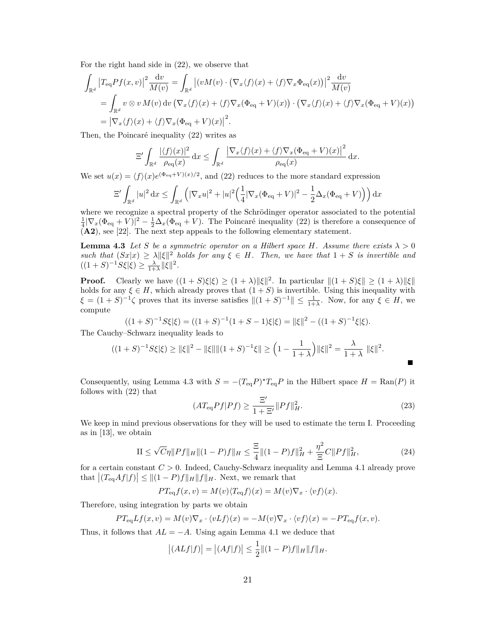For the right hand side in (22), we observe that

$$
\int_{\mathbb{R}^d} \left| T_{\mathbf{eq}} P f(x, v) \right|^2 \frac{dv}{M(v)} = \int_{\mathbb{R}^d} \left| (v M(v) \cdot (\nabla_x \langle f \rangle(x) + \langle f \rangle \nabla_x \Phi_{\mathbf{eq}}(x)) \right|^2 \frac{dv}{M(v)}
$$
\n
$$
= \int_{\mathbb{R}^d} v \otimes v M(v) dv \left( \nabla_x \langle f \rangle(x) + \langle f \rangle \nabla_x (\Phi_{\mathbf{eq}} + V)(x) \right) \cdot \left( \nabla_x \langle f \rangle(x) + \langle f \rangle \nabla_x (\Phi_{\mathbf{eq}} + V)(x) \right)
$$
\n
$$
= |\nabla_x \langle f \rangle(x) + \langle f \rangle \nabla_x (\Phi_{\mathbf{eq}} + V)(x)|^2.
$$

Then, the Poincaré inequality (22) writes as

$$
\Xi' \int_{\mathbb{R}^d} \frac{|\langle f \rangle(x)|^2}{\rho_{\text{eq}}(x)} dx \le \int_{\mathbb{R}^d} \frac{\left| \nabla_x \langle f \rangle(x) + \langle f \rangle \nabla_x (\Phi_{\text{eq}} + V)(x) \right|^2}{\rho_{\text{eq}}(x)} dx.
$$

We set  $u(x) = \langle f \rangle (x) e^{(\Phi_{eq}+V)(x)/2}$ , and (22) reduces to the more standard expression

$$
\Xi' \int_{\mathbb{R}^d} |u|^2 \, dx \le \int_{\mathbb{R}^d} \left( |\nabla_x u|^2 + |u|^2 \left( \frac{1}{4} |\nabla_x (\Phi_{\text{eq}} + V)|^2 - \frac{1}{2} \Delta_x (\Phi_{\text{eq}} + V) \right) \right) dx
$$

where we recognize a spectral property of the Schrödinger operator associated to the potential  $\frac{1}{4}|\nabla_x(\Phi_{\text{eq}}+V)|^2 - \frac{1}{2}\Delta_x(\Phi_{\text{eq}}+V)$ . The Poincaré inequality (22) is therefore a consequence of (**A2**), see [22]. The next step appeals to the following elementary statement.

**Lemma 4.3** Let *S* be a symmetric operator on a Hilbert space H. Assume there exists  $\lambda > 0$ *such that*  $(Sx|x) \geq \lambda ||\xi||^2$  *holds for any*  $\xi \in H$ *. Then, we have that*  $1 + S$  *is invertible and*  $((1 + S)^{-1}S\xi|\xi) \ge \frac{\lambda}{1+\lambda} \|\xi\|^2.$ 

**Proof.** Clearly we have  $((1 + S)\xi|\xi) \ge (1 + \lambda) \|\xi\|^2$ . In particular  $||(1 + S)\xi|| \ge (1 + \lambda) \|\xi\|$ holds for any  $\xi \in H$ , which already proves that  $(1 + S)$  is invertible. Using this inequality with  $\xi = (1 + S)^{-1}\zeta$  proves that its inverse satisfies  $||(1 + S)^{-1}|| \le \frac{1}{1+\lambda}$ . Now, for any  $\xi \in H$ , we compute

$$
((1+S)^{-1}S\xi|\xi) = ((1+S)^{-1}(1+S-1)\xi|\xi) = ||\xi||^2 - ((1+S)^{-1}\xi|\xi).
$$

The Cauchy–Schwarz inequality leads to

$$
((1+S)^{-1}S\xi|\xi) \ge \|\xi\|^2 - \|\xi\| \|(1+S)^{-1}\xi\| \ge \left(1 - \frac{1}{1+\lambda}\right) \|\xi\|^2 = \frac{\lambda}{1+\lambda} \|\xi\|^2.
$$

Consequently, using Lemma 4.3 with  $S = -(T_{eq}P)^{\star}T_{eq}P$  in the Hilbert space  $H = \text{Ran}(P)$  it follows with (22) that

$$
(AT_{\text{eq}}Pf|Pf) \ge \frac{\Xi'}{1+\Xi'}\|Pf\|_H^2.
$$
\n
$$
(23)
$$

П

We keep in mind previous observations for they will be used to estimate the term I. Proceeding as in [13], we obtain

$$
\mathcal{II} \le \sqrt{C}\eta \|Pf\|_{H} \|(1-P)f\|_{H} \le \frac{\Xi}{4} \|(1-P)f\|_{H}^{2} + \frac{\eta^{2}}{\Xi}C\|Pf\|_{H}^{2},\tag{24}
$$

for a certain constant *C >* 0. Indeed, Cauchy-Schwarz inequality and Lemma 4.1 already prove that  $|(T_{\text{eq}}Af|f)| \leq ||(1 - P)f||_H||f||_H$ . Next, we remark that

$$
PT_{\text{eq}}f(x,v) = M(v)\langle T_{\text{eq}}f\rangle(x) = M(v)\nabla_x \cdot \langle vf \rangle(x).
$$

Therefore, using integration by parts we obtain

$$
PT_{\text{eq}}Lf(x,v) = M(v)\nabla_x \cdot \langle vLf \rangle(x) = -M(v)\nabla_x \cdot \langle vf \rangle(x) = -PT_{\text{eq}}f(x,v).
$$

Thus, it follows that  $AL = -A$ . Using again Lemma 4.1 we deduce that

$$
|(ALf|f)| = |(Af|f)| \le \frac{1}{2} ||(1-P)f||_H ||f||_H.
$$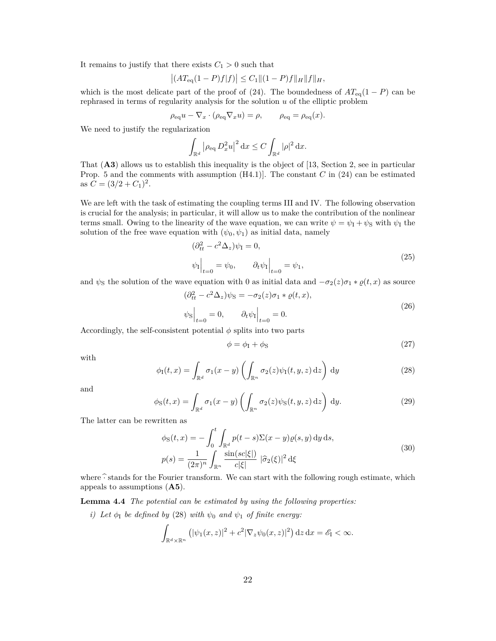It remains to justify that there exists  $C_1 > 0$  such that

$$
|(AT_{\text{eq}}(1-P)f|f)| \leq C_1 ||(1-P)f||_H ||f||_H,
$$

which is the most delicate part of the proof of (24). The boundedness of  $AT_{eq}(1 - P)$  can be rephrased in terms of regularity analysis for the solution *u* of the elliptic problem

$$
\rho_{\text{eq}}u - \nabla_x \cdot (\rho_{\text{eq}} \nabla_x u) = \rho, \qquad \rho_{\text{eq}} = \rho_{\text{eq}}(x).
$$

We need to justify the regularization

$$
\int_{\mathbb{R}^d} |\rho_{\text{eq}} D_x^2 u|^2 \, \mathrm{d}x \le C \int_{\mathbb{R}^d} |\rho|^2 \, \mathrm{d}x.
$$

That (**A3**) allows us to establish this inequality is the object of [13, Section 2, see in particular Prop. 5 and the comments with assumption (H4.1)]. The constant *C* in (24) can be estimated as  $C = (3/2 + C_1)^2$ .

We are left with the task of estimating the coupling terms III and IV. The following observation is crucial for the analysis; in particular, it will allow us to make the contribution of the nonlinear terms small. Owing to the linearity of the wave equation, we can write  $\psi = \psi_I + \psi_S$  with  $\psi_I$  the solution of the free wave equation with  $(\psi_0, \psi_1)$  as initial data, namely

$$
(\partial_{tt}^2 - c^2 \Delta_z) \psi_{\mathcal{I}} = 0,
$$
  
\n
$$
\psi_{\mathcal{I}}\Big|_{t=0} = \psi_0, \qquad \partial_t \psi_{\mathcal{I}}\Big|_{t=0} = \psi_1,
$$
\n(25)

and  $\psi$ <sub>S</sub> the solution of the wave equation with 0 as initial data and  $-\sigma_2(z)\sigma_1 * \varrho(t,x)$  as source

$$
(\partial_{tt}^2 - c^2 \Delta_z) \psi_{\rm S} = -\sigma_2(z)\sigma_1 * \varrho(t, x),
$$
  

$$
\psi_{\rm S}\Big|_{t=0} = 0, \qquad \partial_t \psi_{\rm I}\Big|_{t=0} = 0.
$$
 (26)

Accordingly, the self-consistent potential  $\phi$  splits into two parts

$$
\phi = \phi_{\rm I} + \phi_{\rm S} \tag{27}
$$

with

$$
\phi_{\rm I}(t,x) = \int_{\mathbb{R}^d} \sigma_1(x-y) \left( \int_{\mathbb{R}^n} \sigma_2(z) \psi_{\rm I}(t,y,z) \, \mathrm{d}z \right) \, \mathrm{d}y \tag{28}
$$

and

$$
\phi_{\mathcal{S}}(t,x) = \int_{\mathbb{R}^d} \sigma_1(x-y) \left( \int_{\mathbb{R}^n} \sigma_2(z) \psi_{\mathcal{S}}(t,y,z) \, \mathrm{d}z \right) \, \mathrm{d}y. \tag{29}
$$

The latter can be rewritten as

$$
\phi_{\mathcal{S}}(t,x) = -\int_0^t \int_{\mathbb{R}^d} p(t-s) \Sigma(x-y) \varrho(s,y) \,dy \,ds,
$$

$$
p(s) = \frac{1}{(2\pi)^n} \int_{\mathbb{R}^n} \frac{\sin(sc|\xi|)}{c|\xi|} |\hat{\sigma}_2(\xi)|^2 \,d\xi
$$
\n(30)

where  $\hat{\cdot}$  stands for the Fourier transform. We can start with the following rough estimate, which appeals to assumptions (**A5**).

**Lemma 4.4** *The potential can be estimated by using the following properties:*

*i)* Let  $\phi_I$  be defined by (28) with  $\psi_0$  and  $\psi_1$  of finite energy:

$$
\int_{\mathbb{R}^d \times \mathbb{R}^n} \left( |\psi_1(x, z)|^2 + c^2 |\nabla_z \psi_0(x, z)|^2 \right) dz dx = \mathscr{E}_1 < \infty.
$$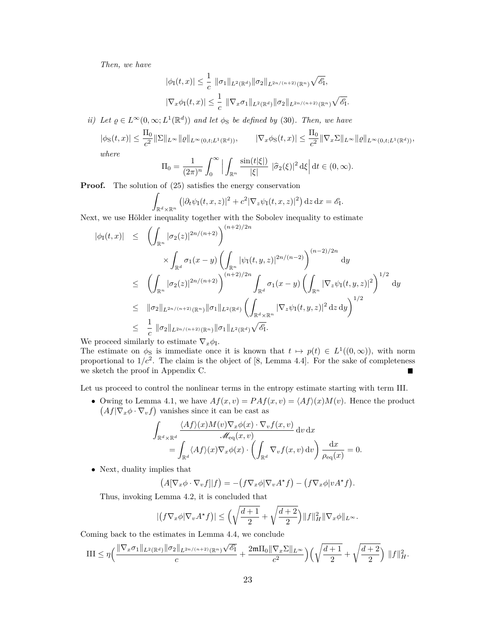*Then, we have*

$$
|\phi_{\rm I}(t,x)| \leq \frac{1}{c} \|\sigma_1\|_{L^2(\mathbb{R}^d)} \|\sigma_2\|_{L^{2n/(n+2)}(\mathbb{R}^n)} \sqrt{\mathscr{E}_{\rm I}},
$$
  

$$
|\nabla_x \phi_{\rm I}(t,x)| \leq \frac{1}{c} \|\nabla_x \sigma_1\|_{L^2(\mathbb{R}^d)} \|\sigma_2\|_{L^{2n/(n+2)}(\mathbb{R}^n)} \sqrt{\mathscr{E}_{\rm I}}.
$$

*ii) Let*  $\varrho \in L^{\infty}(0, \infty; L^{1}(\mathbb{R}^{d}))$  *and let*  $\phi_{S}$  *be defined by* (30)*. Then, we have* 

$$
|\phi_{\mathcal{S}}(t,x)| \leq \frac{\Pi_0}{c^2} \|\Sigma\|_{L^\infty} \|\varrho\|_{L^\infty(0,t;L^1(\mathbb{R}^d))}, \qquad |\nabla_x \phi_{\mathcal{S}}(t,x)| \leq \frac{\Pi_0}{c^2} \|\nabla_x \Sigma\|_{L^\infty} \|\varrho\|_{L^\infty(0,t;L^1(\mathbb{R}^d))},
$$
  
where

*where*

$$
\Pi_0 = \frac{1}{(2\pi)^n} \int_0^\infty \Big| \int_{\mathbb{R}^n} \frac{\sin(t|\xi|)}{|\xi|} |\widehat{\sigma}_2(\xi)|^2 d\xi \Big| dt \in (0, \infty).
$$

**Proof.** The solution of  $(25)$  satisfies the energy conservation

$$
\int_{\mathbb{R}^d \times \mathbb{R}^n} \left( |\partial_t \psi_1(t, x, z)|^2 + c^2 |\nabla_z \psi_1(t, x, z)|^2 \right) dz dx = \mathscr{E}_1.
$$

Next, we use Hölder inequality together with the Sobolev inequality to estimate

$$
\begin{array}{lcl}\n|\phi_{\rm I}(t,x)| &\leq & \left(\int_{\mathbb{R}^n} |\sigma_2(z)|^{2n/(n+2)}\right)^{(n+2)/2n} \\
& \times \int_{\mathbb{R}^d} \sigma_1(x-y) \left(\int_{\mathbb{R}^n} |\psi_{\rm I}(t,y,z)|^{2n/(n-2)}\right)^{(n-2)/2n} \, \mathrm{d}y \\
&\leq & \left(\int_{\mathbb{R}^n} |\sigma_2(z)|^{2n/(n+2)}\right)^{(n+2)/2n} \int_{\mathbb{R}^d} \sigma_1(x-y) \left(\int_{\mathbb{R}^n} |\nabla_z \psi_{\rm I}(t,y,z)|^2\right)^{1/2} \, \mathrm{d}y \\
&\leq & \|\sigma_2\|_{L^{2n/(n+2)}(\mathbb{R}^n)} \|\sigma_1\|_{L^2(\mathbb{R}^d)} \left(\int_{\mathbb{R}^d \times \mathbb{R}^n} |\nabla_z \psi_{\rm I}(t,y,z)|^2 \, \mathrm{d}z \, \mathrm{d}y\right)^{1/2} \\
&\leq & \frac{1}{c} \|\sigma_2\|_{L^{2n/(n+2)}(\mathbb{R}^n)} \|\sigma_1\|_{L^2(\mathbb{R}^d)} \sqrt{\mathscr{E}_{\rm I}}.\n\end{array}
$$

We proceed similarly to estimate  $\nabla_x \phi$ <sup>I</sup>.

The estimate on  $\phi_S$  is immediate once it is known that  $t \mapsto p(t) \in L^1((0,\infty))$ , with norm proportional to  $1/c^2$ . The claim is the object of [8, Lemma 4.4]. For the sake of completeness we sketch the proof in Appendix C.  $\blacksquare$ 

Let us proceed to control the nonlinear terms in the entropy estimate starting with term III.

• Owing to Lemma 4.1, we have  $Af(x, v) = PAf(x, v) = \langle Af \rangle(x)M(v)$ . Hence the product  $(Af|\nabla_x \phi \cdot \nabla_v f)$  vanishes since it can be cast as

$$
\int_{\mathbb{R}^d \times \mathbb{R}^d} \frac{\langle Af \rangle(x)M(v)\nabla_x \phi(x) \cdot \nabla_v f(x,v)}{\mathscr{M}_{\text{eq}}(x,v)} dv dx \n= \int_{\mathbb{R}^d} \langle Af \rangle(x)\nabla_x \phi(x) \cdot \left( \int_{\mathbb{R}^d} \nabla_v f(x,v) dv \right) \frac{dx}{\rho_{\text{eq}}(x)} = 0.
$$

• Next, duality implies that

$$
(A[\nabla_x \phi \cdot \nabla_v f](f) = -(f \nabla_x \phi | \nabla_v A^* f) - (f \nabla_x \phi | v A^* f).
$$

Thus, invoking Lemma 4.2, it is concluded that

$$
|\big(f\nabla_x\phi|\nabla_v A^*f\big)| \le \Big(\sqrt{\frac{d+1}{2}} + \sqrt{\frac{d+2}{2}}\Big) \|f\|_H^2 \|\nabla_x\phi\|_{L^\infty}.
$$

Coming back to the estimates in Lemma 4.4, we conclude

$$
\mathrm{III}\leq \eta\Big(\frac{\|\nabla_x\sigma_1\|_{L^2(\mathbb{R}^d)}\|\sigma_2\|_{L^{2n/(n+2)}(\mathbb{R}^n)}\sqrt{\mathscr{E}_1}}{c}+\frac{2\mathfrak{m}\Pi_0\|\nabla_x\Sigma\|_{L^\infty}}{c^2}\Big)\Big(\sqrt{\frac{d+1}{2}}+\sqrt{\frac{d+2}{2}}\Big)\,\,\|f\|_H^2.
$$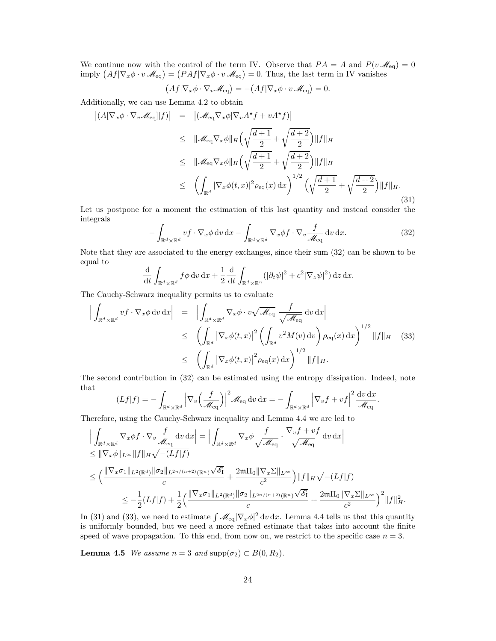We continue now with the control of the term IV. Observe that  $PA = A$  and  $P(v \mathcal{M}_{eq}) = 0$  $\text{imply } (Af|\nabla_x \phi \cdot v \mathcal{M}_{\text{eq}}) = (PAf|\nabla_x \phi \cdot v \mathcal{M}_{\text{eq}}) = 0.$  Thus, the last term in IV vanishes

$$
(Af|\nabla_x \phi \cdot \nabla_v \mathscr{M}_{\mathrm{eq}}) = -(Af|\nabla_x \phi \cdot v \mathscr{M}_{\mathrm{eq}}) = 0.
$$

Additionally, we can use Lemma 4.2 to obtain

$$
\begin{split}\n\left| \left( A[\nabla_x \phi \cdot \nabla_v \mathcal{M}_{\text{eq}}] | f) \right| &= \left| \left( \mathcal{M}_{\text{eq}} \nabla_x \phi | \nabla_v A^* f + v A^* f) \right| \right. \\
&\leq \left| \left| \mathcal{M}_{\text{eq}} \nabla_x \phi \right| \right|_H \left( \sqrt{\frac{d+1}{2}} + \sqrt{\frac{d+2}{2}} \right) \| f \|_H \\
&\leq \left| \left| \mathcal{M}_{\text{eq}} \nabla_x \phi \right| \right|_H \left( \sqrt{\frac{d+1}{2}} + \sqrt{\frac{d+2}{2}} \right) \| f \|_H \\
&\leq \left( \int_{\mathbb{R}^d} |\nabla_x \phi(t, x)|^2 \rho_{\text{eq}}(x) \, \mathrm{d}x \right)^{1/2} \left( \sqrt{\frac{d+1}{2}} + \sqrt{\frac{d+2}{2}} \right) \| f \|_H.\n\end{split} \tag{31}
$$

Let us postpone for a moment the estimation of this last quantity and instead consider the integrals

$$
-\int_{\mathbb{R}^d \times \mathbb{R}^d} vf \cdot \nabla_x \phi \, dv \, dx - \int_{\mathbb{R}^d \times \mathbb{R}^d} \nabla_x \phi f \cdot \nabla_v \frac{f}{\mathscr{M}_{\text{eq}}} \, dv \, dx. \tag{32}
$$

Note that they are associated to the energy exchanges, since their sum (32) can be shown to be equal to

$$
\frac{\mathrm{d}}{\mathrm{d}t} \int_{\mathbb{R}^d \times \mathbb{R}^d} f \phi \, \mathrm{d}v \, \mathrm{d}x + \frac{1}{2} \frac{\mathrm{d}}{\mathrm{d}t} \int_{\mathbb{R}^d \times \mathbb{R}^n} (|\partial_t \psi|^2 + c^2 |\nabla_z \psi|^2) \, \mathrm{d}z \, \mathrm{d}x.
$$

The Cauchy-Schwarz inequality permits us to evaluate

$$
\left| \int_{\mathbb{R}^d \times \mathbb{R}^d} v f \cdot \nabla_x \phi \, dv \, dx \right| = \left| \int_{\mathbb{R}^d \times \mathbb{R}^d} \nabla_x \phi \cdot v \sqrt{\mathcal{M}_{\text{eq}}} \frac{f}{\sqrt{\mathcal{M}_{\text{eq}}}} \, dv \, dx \right|
$$
  
\n
$$
\leq \left( \int_{\mathbb{R}^d} |\nabla_x \phi(t, x)|^2 \left( \int_{\mathbb{R}^d} v^2 M(v) \, dv \right) \rho_{\text{eq}}(x) \, dx \right)^{1/2} \|f\|_H \quad (33)
$$
  
\n
$$
\leq \left( \int_{\mathbb{R}^d} |\nabla_x \phi(t, x)|^2 \rho_{\text{eq}}(x) \, dx \right)^{1/2} \|f\|_H.
$$

The second contribution in (32) can be estimated using the entropy dissipation. Indeed, note that

$$
(Lf|f) = -\int_{\mathbb{R}^d \times \mathbb{R}^d} \left| \nabla_v \left( \frac{f}{\mathcal{M}_{\text{eq}}} \right) \right|^2 \mathcal{M}_{\text{eq}} \, dv \, dx = -\int_{\mathbb{R}^d \times \mathbb{R}^d} \left| \nabla_v f + v f \right|^2 \frac{dv \, dx}{\mathcal{M}_{\text{eq}}}.
$$

Therefore, using the Cauchy-Schwarz inequality and Lemma 4.4 we are led to

$$
\begin{split}\n&\left|\int_{\mathbb{R}^d \times \mathbb{R}^d} \nabla_x \phi f \cdot \nabla_v \frac{f}{\mathcal{M}_{\text{eq}}} \, \mathrm{d}v \, \mathrm{d}x\right| = \left|\int_{\mathbb{R}^d \times \mathbb{R}^d} \nabla_x \phi \frac{f}{\sqrt{\mathcal{M}_{\text{eq}}}} \cdot \frac{\nabla_v f + v f}{\sqrt{\mathcal{M}_{\text{eq}}}} \, \mathrm{d}v \, \mathrm{d}x\right| \\
&\leq \|\nabla_x \phi\|_{L^\infty} \|f\|_{H} \sqrt{-(Lf|f)} \\
&\leq \left(\frac{\|\nabla_x \sigma_1\|_{L^2(\mathbb{R}^d)} \|\sigma_2\|_{L^{2n/(n+2)}(\mathbb{R}^n)} \sqrt{\mathcal{E}_1}}{c} + \frac{2m \Pi_0 \|\nabla_x \Sigma\|_{L^\infty}}{c^2}\right) \|f\|_{H} \sqrt{-(Lf|f)} \\
&\leq -\frac{1}{2} (Lf|f) + \frac{1}{2} \left(\frac{\|\nabla_x \sigma_1\|_{L^2(\mathbb{R}^d)} \|\sigma_2\|_{L^{2n/(n+2)}(\mathbb{R}^n)} \sqrt{\mathcal{E}_1}}{c} + \frac{2m \Pi_0 \|\nabla_x \Sigma\|_{L^\infty}}{c^2}\right)^2 \|f\|_{H}^2.\n\end{split}
$$

In (31) and (33), we need to estimate  $\int \mathcal{M}_{eq} |\nabla_x \phi|^2 dv dx$ . Lemma 4.4 tells us that this quantity is uniformly bounded, but we need a more refined estimate that takes into account the finite speed of wave propagation. To this end, from now on, we restrict to the specific case  $n = 3$ .

**Lemma 4.5** *We assume*  $n = 3$  *and* supp $(\sigma_2) \subset B(0, R_2)$ *.*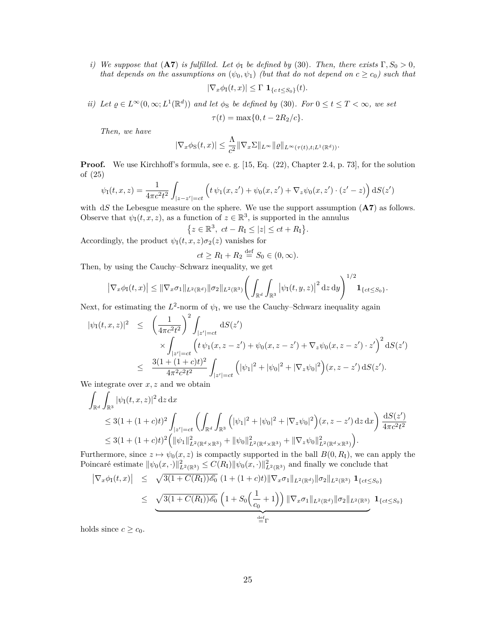*i*) We suppose that  $(A7)$  *is fulfilled. Let*  $\phi_I$  *be defined by* (30)*. Then, there exists*  $\Gamma, S_0 > 0$ *, that depends on the assumptions on*  $(\psi_0, \psi_1)$  *(but that do not depend on*  $c \geq c_0$ *) such that* 

$$
|\nabla_x \phi_1(t,x)| \leq \Gamma \mathbf{1}_{\{c \, t \leq S_0\}}(t).
$$

*ii) Let*  $\varrho \in L^{\infty}(0, \infty; L^{1}(\mathbb{R}^{d}))$  *and let*  $\phi_{S}$  *be defined by* (30)*. For*  $0 \leq t \leq T < \infty$ *, we set* 

$$
\tau(t) = \max\{0, t - 2R_2/c\}.
$$

*Then, we have*

$$
|\nabla_x \phi_S(t,x)| \leq \frac{\Lambda}{c^2} ||\nabla_x \Sigma||_{L^\infty} ||\varrho||_{L^\infty(\tau(t),t;L^1(\mathbb{R}^d))}.
$$

**Proof.** We use Kirchhoff's formula, see e. g. [15, Eq. (22), Chapter 2.4, p. 73], for the solution of (25)

$$
\psi_{\rm I}(t,x,z) = \frac{1}{4\pi c^2 t^2} \int_{|z-z'|=ct} \left( t \psi_1(x,z') + \psi_0(x,z') + \nabla_z \psi_0(x,z') \cdot (z'-z) \right) dS(z')
$$

with d*S* the Lebesgue measure on the sphere. We use the support assumption (**A7**) as follows. Observe that  $\psi_1(t, x, z)$ , as a function of  $z \in \mathbb{R}^3$ , is supported in the annulus

$$
\{z \in \mathbb{R}^3, ct - R_I \le |z| \le ct + R_I\}.
$$

Accordingly, the product  $\psi_1(t, x, z) \sigma_2(z)$  vanishes for

$$
ct \ge R_{\rm I} + R_2 \stackrel{\text{def}}{=} S_0 \in (0, \infty).
$$

!1*/*<sup>2</sup>

Then, by using the Cauchy–Schwarz inequality, we get

$$
\left|\nabla_x \phi_{\rm I}(t,x)\right| \leq \|\nabla_x \sigma_1\|_{L^2(\mathbb{R}^d)} \|\sigma_2\|_{L^2(\mathbb{R}^3)} \left(\int_{\mathbb{R}^d} \int_{\mathbb{R}^3} \left|\psi_{\rm I}(t,y,z)\right|^2 \mathrm{d}z \, \mathrm{d}y\right)^{1/2} \mathbf{1}_{\{ct \leq S_0\}}.
$$

Next, for estimating the  $L^2$ -norm of  $\psi_I$ , we use the Cauchy–Schwarz inequality again

$$
|\psi_{\mathcal{I}}(t,x,z)|^2 \leq \left(\frac{1}{4\pi c^2 t^2}\right)^2 \int_{|z'|=ct} dS(z')
$$
  
 
$$
\times \int_{|z'|=ct} \left(t \psi_1(x,z-z') + \psi_0(x,z-z') + \nabla_z \psi_0(x,z-z') \cdot z'\right)^2 dS(z')
$$
  

$$
\leq \frac{3(1+(1+c)t)^2}{4\pi^2 c^2 t^2} \int_{|z'|=ct} \left(|\psi_1|^2 + |\psi_0|^2 + |\nabla_z \psi_0|^2\right)(x,z-z') dS(z').
$$

We integrate over *x, z* and we obtain

$$
\int_{\mathbb{R}^d} \int_{\mathbb{R}^3} |\psi_I(t, x, z)|^2 dz dx
$$
\n
$$
\leq 3(1 + (1 + c)t)^2 \int_{|z'| = ct} \left( \int_{\mathbb{R}^d} \int_{\mathbb{R}^3} (|\psi_1|^2 + |\psi_0|^2 + |\nabla_z \psi_0|^2)(x, z - z') dz dx \right) \frac{dS(z')}{4\pi c^2 t^2}
$$
\n
$$
\leq 3(1 + (1 + c)t)^2 \left( \|\psi_1\|_{L^2(\mathbb{R}^d \times \mathbb{R}^3)}^2 + \|\psi_0\|_{L^2(\mathbb{R}^d \times \mathbb{R}^3)}^2 + \|\nabla_z \psi_0\|_{L^2(\mathbb{R}^d \times \mathbb{R}^3)}^2 \right).
$$

Furthermore, since  $z \mapsto \psi_0(x, z)$  is compactly supported in the ball  $B(0, R_I)$ , we can apply the Poincaré estimate  $\|\psi_0(x, \cdot)\|_{L^2(\mathbb{R}^3)}^2 \leq C(R_1) \|\psi_0(x, \cdot)\|_{L^2(\mathbb{R}^3)}^2$  and finally we conclude that

$$
\begin{array}{rcl}\n\left|\nabla_x \phi_I(t,x)\right| & \leq & \sqrt{3(1+C(R_I))\mathscr{E}_0} \ (1+(1+c)t) \|\nabla_x \sigma_1\|_{L^2(\mathbb{R}^d)} \|\sigma_2\|_{L^2(\mathbb{R}^3)} \ \mathbf{1}_{\{ct \leq S_0\}} \\
& \leq & \sqrt{3(1+C(R_I))\mathscr{E}_0} \ \left(1+S_0\left(\frac{1}{c_0}+1\right)\right) \|\nabla_x \sigma_1\|_{L^2(\mathbb{R}^d)} \|\sigma_2\|_{L^2(\mathbb{R}^3)} \ \mathbf{1}_{\{ct \leq S_0\}} \\
& \xrightarrow{\text{def}} \\
\frac{\text{def}}{\text{def}}_{\Gamma}\n\end{array}
$$

holds since  $c \geq c_0$ .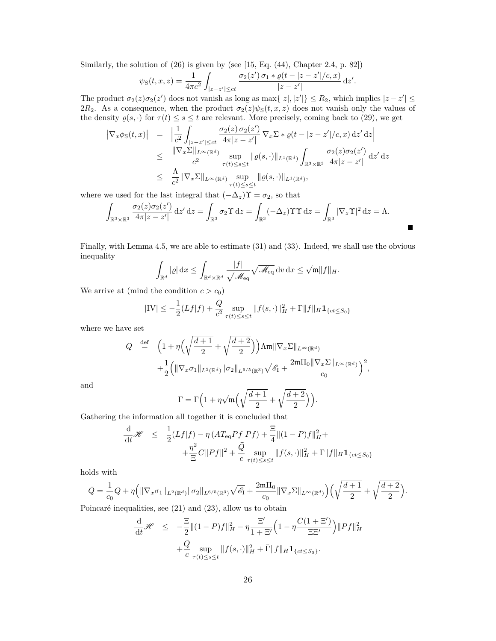Similarly, the solution of (26) is given by (see [15, Eq. (44), Chapter 2.4, p. 82])

$$
\psi_{\rm S}(t,x,z) = \frac{1}{4\pi c^2} \int_{|z-z'| \le ct} \frac{\sigma_2(z') \, \sigma_1 * \varrho(t - |z - z'|/c, x)}{|z - z'|} \, \mathrm{d}z'.
$$

The product  $\sigma_2(z)\sigma_2(z')$  does not vanish as long as  $\max\{|z|, |z'|\} \leq R_2$ , which implies  $|z - z'| \leq$ 2 $R_2$ . As a consequence, when the product  $\sigma_2(z)\psi_s(t, x, z)$  does not vanish only the values of the density  $\varrho(s, \cdot)$  for  $\tau(t) \leq s \leq t$  are relevant. More precisely, coming back to (29), we get

$$
\begin{array}{rcl} \left|\nabla_x \phi_S(t,x)\right| & = & \left|\frac{1}{c^2} \int_{|z-z'| \le ct} \frac{\sigma_2(z)\,\sigma_2(z')}{4\pi|z-z'|} \nabla_x \Sigma * \varrho(t-|z-z'|/c,x) \,\mathrm{d} z' \,\mathrm{d} z\right| \\ & \le & \frac{\|\nabla_x \Sigma\|_{L^\infty(\mathbb{R}^d)}}{c^2} \sup_{\tau(t) \le s \le t} \| \varrho(s,\cdot) \|_{L^1(\mathbb{R}^d)} \int_{\mathbb{R}^3 \times \mathbb{R}^3} \frac{\sigma_2(z)\sigma_2(z')}{4\pi|z-z'|} \,\mathrm{d} z' \,\mathrm{d} z \\ & \le & \frac{\Lambda}{c^2} \|\nabla_x \Sigma\|_{L^\infty(\mathbb{R}^d)} \sup_{\tau(t) \le s \le t} \| \varrho(s,\cdot) \|_{L^1(\mathbb{R}^d)}, \end{array}
$$

where we used for the last integral that  $(-\Delta_z)\Upsilon = \sigma_2$ , so that

$$
\int_{\mathbb{R}^3 \times \mathbb{R}^3} \frac{\sigma_2(z)\sigma_2(z')}{4\pi |z - z'|} dz' dz = \int_{\mathbb{R}^3} \sigma_2 \Upsilon dz = \int_{\mathbb{R}^3} (-\Delta_z) \Upsilon \Upsilon dz = \int_{\mathbb{R}^3} |\nabla_z \Upsilon|^2 dz = \Lambda.
$$

n

Finally, with Lemma 4.5, we are able to estimate (31) and (33). Indeed, we shall use the obvious inequality

$$
\int_{\mathbb{R}^d} |\varrho| \, \mathrm{d} x \le \int_{\mathbb{R}^d \times \mathbb{R}^d} \frac{|f|}{\sqrt{\mathscr{M}_{\mathrm{eq}}}} \sqrt{\mathscr{M}_{\mathrm{eq}}} \, \mathrm{d} v \, \mathrm{d} x \le \sqrt{\mathfrak{m}} \|f\|_H.
$$

We arrive at (mind the condition  $c > c_0$ )

$$
|\text{IV}| \le -\frac{1}{2}(Lf|f) + \frac{Q}{c^2} \sup_{\tau(t) \le s \le t} ||f(s, \cdot)||_H^2 + \bar{\Gamma}||f||_H \mathbf{1}_{\{ct \le S_0\}}
$$

where we have set

$$
Q \stackrel{\text{def}}{=} \left(1 + \eta \left(\sqrt{\frac{d+1}{2}} + \sqrt{\frac{d+2}{2}}\right)\right) \Lambda \mathfrak{m} \|\nabla_x \Sigma\|_{L^\infty(\mathbb{R}^d)} + \frac{1}{2} \left(\|\nabla_x \sigma_1\|_{L^2(\mathbb{R}^d)} \|\sigma_2\|_{L^{6/5}(\mathbb{R}^3)} \sqrt{\mathscr{E}_I} + \frac{2 \mathfrak{m} \Pi_0 \|\nabla_x \Sigma\|_{L^\infty(\mathbb{R}^d)}}{c_0}\right)^2,
$$

and

$$
\bar{\Gamma} = \Gamma\Big(1 + \eta\sqrt{\mathfrak{m}}\Big(\sqrt{\frac{d+1}{2}} + \sqrt{\frac{d+2}{2}}\Big)\Big).
$$

Gathering the information all together it is concluded that

$$
\frac{\mathrm{d}}{\mathrm{d}t} \mathscr{H} \leq \frac{1}{2} (Lf|f) - \eta (AT_{\text{eq}} Pf|Pf) + \frac{\Xi}{4} ||(1 - P)f||_H^2 + \n+ \frac{\eta^2}{\Xi} C ||Pf||^2 + \frac{\bar{Q}}{c} \sup_{\tau(t) \leq s \leq t} ||f(s, \cdot)||_H^2 + \bar{\Gamma} ||f||_H \mathbf{1}_{\{ct \leq S_0\}}
$$

holds with

$$
\bar{Q} = \frac{1}{c_0}Q + \eta \left( \|\nabla_x \sigma_1\|_{L^2(\mathbb{R}^d)} \|\sigma_2\|_{L^{6/5}(\mathbb{R}^3)} \sqrt{\mathscr{E}_I} + \frac{2\mathfrak{m} \Pi_0}{c_0} \|\nabla_x \Sigma\|_{L^{\infty}(\mathbb{R}^d)} \right) \left( \sqrt{\frac{d+1}{2}} + \sqrt{\frac{d+2}{2}} \right).
$$

Poincaré inequalities, see (21) and (23), allow us to obtain

$$
\frac{\mathrm{d}}{\mathrm{d}t} \mathcal{H} \leq -\frac{\Xi}{2} ||(1 - P)f||_H^2 - \eta \frac{\Xi'}{1 + \Xi'} \left(1 - \eta \frac{C(1 + \Xi')}{\Xi \Xi'}\right) ||Pf||_H^2 \n+ \frac{\bar{Q}}{c} \sup_{\tau(t) \leq s \leq t} ||f(s, \cdot)||_H^2 + \bar{\Gamma} ||f||_H \mathbf{1}_{\{ct \leq S_0\}}.
$$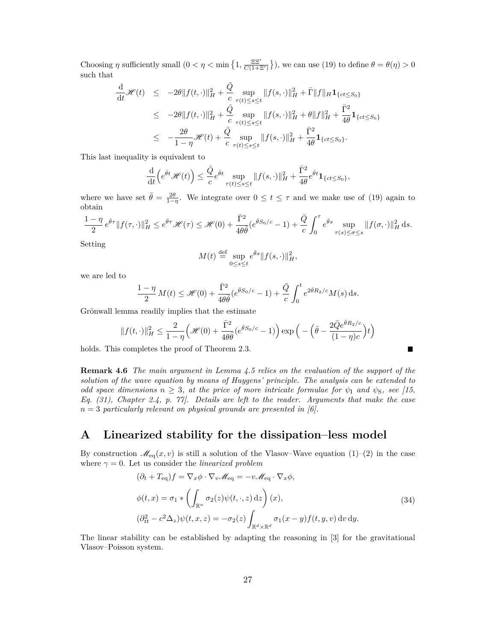Choosing *η* sufficiently small  $(0 < \eta < \min\left\{1, \frac{\Xi \Xi'}{C(1+\Xi')}}\right\})$ , we can use (19) to define  $\theta = \theta(\eta) > 0$ such that

$$
\frac{d}{dt} \mathcal{H}(t) \leq -2\theta \|f(t, \cdot)\|_{H}^{2} + \frac{\bar{Q}}{c} \sup_{\tau(t) \leq s \leq t} \|f(s, \cdot)\|_{H}^{2} + \bar{\Gamma} \|f\|_{H} \mathbf{1}_{\{ct \leq S_{0}\}}\leq -2\theta \|f(t, \cdot)\|_{H}^{2} + \frac{\bar{Q}}{c} \sup_{\tau(t) \leq s \leq t} \|f(s, \cdot)\|_{H}^{2} + \theta \|f\|_{H}^{2} + \frac{\bar{\Gamma}^{2}}{4\theta} \mathbf{1}_{\{ct \leq S_{0}\}}\leq -\frac{2\theta}{1 - \eta} \mathcal{H}(t) + \frac{\bar{Q}}{c} \sup_{\tau(t) \leq s \leq t} \|f(s, \cdot)\|_{H}^{2} + \frac{\bar{\Gamma}^{2}}{4\theta} \mathbf{1}_{\{ct \leq S_{0}\}}.
$$

This last inequality is equivalent to

$$
\frac{\mathrm{d}}{\mathrm{d}t}\Big(e^{\bar{\theta}t}\mathscr{H}(t)\Big)\leq \frac{\bar{Q}}{c}e^{\bar{\theta}t}\sup_{\tau(t)\leq s\leq t}\|f(s,\cdot)\|_H^2+\frac{\bar{\Gamma}^2}{4\theta}e^{\bar{\theta}t}\mathbf{1}_{\{ct\leq S_0\}},
$$

where we have set  $\bar{\theta} = \frac{2\theta}{1-\eta}$ . We integrate over  $0 \leq t \leq \tau$  and we make use of (19) again to obtain

$$
\frac{1-\eta}{2}e^{\bar{\theta}\tau}||f(\tau,\cdot)||_H^2 \leq e^{\bar{\theta}\tau}\mathscr{H}(\tau) \leq \mathscr{H}(0) + \frac{\bar{\Gamma}^2}{4\theta\bar{\theta}}(e^{\bar{\theta}S_0/c} - 1) + \frac{\bar{Q}}{c} \int_0^\tau e^{\bar{\theta}s} \sup_{\tau(s)\leq \sigma \leq s} ||f(\sigma,\cdot)||_H^2 ds.
$$

Setting

$$
M(t) \stackrel{\text{def}}{=} \sup_{0 \le s \le t} e^{\bar{\theta}s} \| f(s, \cdot) \|_{H}^{2},
$$

we are led to

$$
\frac{1-\eta}{2} M(t) \leq \mathscr{H}(0) + \frac{\bar{\Gamma}^2}{4\theta \bar{\theta}} \left(e^{\bar{\theta} S_0/c} - 1\right) + \frac{\bar{Q}}{c} \int_0^t e^{2\bar{\theta} R_2/c} M(s) \,ds.
$$

Grönwall lemma readily implies that the estimate

$$
||f(t, \cdot)||_H^2 \le \frac{2}{1-\eta} \Big(\mathcal{H}(0) + \frac{\bar{\Gamma}^2}{4\theta \bar{\theta}} \left(e^{\bar{\theta}S_0/c} - 1\right) \exp\Big(-\Big(\bar{\theta} - \frac{2\bar{Q}e^{\bar{\theta}R_2/c}}{(1-\eta)c}\Big)t\Big)
$$

П

holds. This completes the proof of Theorem 2.3.

**Remark 4.6** *The main argument in Lemma 4.5 relies on the evaluation of the support of the solution of the wave equation by means of Huygens' principle. The analysis can be extended to odd space dimensions*  $n \geq 3$ , at the price of more intricate formulae for  $\psi_I$  and  $\psi_S$ , see [15, *Eq. (31), Chapter 2.4, p. 77]. Details are left to the reader. Arguments that make the case*  $n = 3$  *particularly relevant on physical grounds are presented in [6]*.

### **A Linearized stability for the dissipation–less model**

By construction  $\mathscr{M}_{eq}(x, v)$  is still a solution of the Vlasov–Wave equation  $(1)$ – $(2)$  in the case where  $\gamma = 0$ . Let us consider the *linearized problem* 

$$
(\partial_t + T_{\text{eq}}) f = \nabla_x \phi \cdot \nabla_v \mathscr{M}_{\text{eq}} = -v \mathscr{M}_{\text{eq}} \cdot \nabla_x \phi,
$$
  
\n
$$
\phi(t, x) = \sigma_1 * \left( \int_{\mathbb{R}^n} \sigma_2(z) \psi(t, \cdot, z) dz \right) (x),
$$
  
\n
$$
(\partial_{tt}^2 - c^2 \Delta_z) \psi(t, x, z) = -\sigma_2(z) \int_{\mathbb{R}^d \times \mathbb{R}^d} \sigma_1(x - y) f(t, y, v) dv dy.
$$
\n(34)

The linear stability can be established by adapting the reasoning in [3] for the gravitational Vlasov–Poisson system.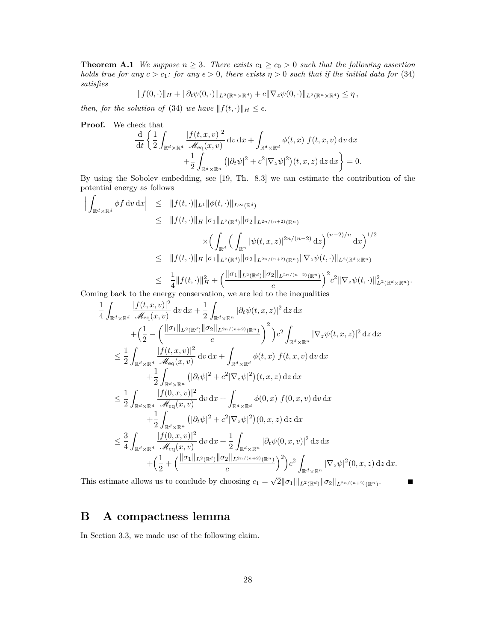**Theorem A.1** *We suppose*  $n \geq 3$ *. There exists*  $c_1 \geq c_0 > 0$  *such that the following assertion holds true for any*  $c > c_1$ *: for any*  $\epsilon > 0$ *, there exists*  $\eta > 0$  *such that if the initial data for* (34) *satisfies*

$$
||f(0, \cdot)||_H + ||\partial_t \psi(0, \cdot)||_{L^2(\mathbb{R}^n \times \mathbb{R}^d)} + c||\nabla_z \psi(0, \cdot)||_{L^2(\mathbb{R}^n \times \mathbb{R}^d)} \leq \eta,
$$

*then, for the solution of* (34) *we have*  $|| f(t, \cdot) ||_H \leq \epsilon$ .

**Proof.** We check that  
\n
$$
\frac{d}{dt} \left\{ \frac{1}{2} \int_{\mathbb{R}^d \times \mathbb{R}^d} \frac{|f(t, x, v)|^2}{\mathcal{M}_{eq}(x, v)} dv dx + \int_{\mathbb{R}^d \times \mathbb{R}^d} \phi(t, x) f(t, x, v) dv dx + \frac{1}{2} \int_{\mathbb{R}^d \times \mathbb{R}^n} \left( |\partial_t \psi|^2 + c^2 |\nabla_z \psi|^2 \right) (t, x, z) dz dx \right\} = 0.
$$

By using the Sobolev embedding, see [19, Th. 8.3] we can estimate the contribution of the potential energy as follows

$$
\begin{split}\n\left| \int_{\mathbb{R}^{d} \times \mathbb{R}^{d}} \phi f \, \mathrm{d}v \, \mathrm{d}x \right| &\leq \|f(t, \cdot)\|_{L^{1}} \|\phi(t, \cdot)\|_{L^{\infty}(\mathbb{R}^{d})} \\
&\leq \|f(t, \cdot)\|_{H} \|\sigma_{1}\|_{L^{2}(\mathbb{R}^{d})} \|\sigma_{2}\|_{L^{2n/(n+2)}(\mathbb{R}^{n})} \\
&\times \left( \int_{\mathbb{R}^{d}} \left( \int_{\mathbb{R}^{n}} |\psi(t, x, z)|^{2n/(n-2)} \, \mathrm{d}z \right)^{(n-2)/n} \, \mathrm{d}x \right)^{1/2} \\
&\leq \|f(t, \cdot)\|_{H} \|\sigma_{1}\|_{L^{2}(\mathbb{R}^{d})} \|\sigma_{2}\|_{L^{2n/(n+2)}(\mathbb{R}^{n})} \|\nabla_{z} \psi(t, \cdot)\|_{L^{2}(\mathbb{R}^{d} \times \mathbb{R}^{n})} \\
&\leq \frac{1}{4} \|f(t, \cdot)\|_{H}^{2} + \left( \frac{\|\sigma_{1}\|_{L^{2}(\mathbb{R}^{d})} \|\sigma_{2}\|_{L^{2n/(n+2)}(\mathbb{R}^{n})}}{c} \right)^{2} c^{2} \|\nabla_{z} \psi(t, \cdot)\|_{L^{2}(\mathbb{R}^{d} \times \mathbb{R}^{n})}^{2}.\n\end{split}
$$

Coming back to the energy conservation, we are led to the inequalities

$$
\frac{1}{4} \int_{\mathbb{R}^d \times \mathbb{R}^d} \frac{|f(t, x, v)|^2}{\mathcal{M}_{\text{eq}}(x, v)} dv dx + \frac{1}{2} \int_{\mathbb{R}^d \times \mathbb{R}^n} |\partial_t \psi(t, x, z)|^2 dz dx \n+ \left( \frac{1}{2} - \left( \frac{\|\sigma_1\|_{L^2(\mathbb{R}^d)} \|\sigma_2\|_{L^{2n/(n+2)}(\mathbb{R}^n)}}{c} \right)^2}{c^2} \right) c^2 \int_{\mathbb{R}^d \times \mathbb{R}^n} |\nabla_z \psi(t, x, z)|^2 dz dx \n\leq \frac{1}{2} \int_{\mathbb{R}^d \times \mathbb{R}^d} \frac{|f(t, x, v)|^2}{\mathcal{M}_{\text{eq}}(x, v)} dv dx + \int_{\mathbb{R}^d \times \mathbb{R}^d} \phi(t, x) f(t, x, v) dv dx \n+ \frac{1}{2} \int_{\mathbb{R}^d \times \mathbb{R}^n} (|\partial_t \psi|^2 + c^2 |\nabla_z \psi|^2)(t, x, z) dz dx \n\leq \frac{1}{2} \int_{\mathbb{R}^d \times \mathbb{R}^d} \frac{|f(0, x, v)|^2}{\mathcal{M}_{\text{eq}}(x, v)} dv dx + \int_{\mathbb{R}^d \times \mathbb{R}^d} \phi(0, x) f(0, x, v) dv dx \n+ \frac{1}{2} \int_{\mathbb{R}^d \times \mathbb{R}^n} (|\partial_t \psi|^2 + c^2 |\nabla_z \psi|^2)(0, x, z) dz dx \n\leq \frac{3}{4} \int_{\mathbb{R}^d \times \mathbb{R}^d} \frac{|f(0, x, v)|^2}{\mathcal{M}_{\text{eq}}(x, v)} dv dx + \frac{1}{2} \int_{\mathbb{R}^d \times \mathbb{R}^n} |\partial_t \psi(0, x, v)|^2 dz dx \n+ \left( \frac{1}{2} + \left( \frac{\|\sigma_1\|_{L^2(\mathbb{R}^d)} \|\sigma_2\|_{L^{2n/(n+2)}(\mathbb{R}^n)}}{c} \right)^2 \right
$$

This estimate allows us to conclude by choosing  $c_1 =$  $2\|\sigma_1\|_{L^2(\mathbb{R}^d)}\|\sigma_2\|_{L^{2n/(n+2)}(\mathbb{R}^n)}.$  П

## **B A compactness lemma**

In Section 3.3, we made use of the following claim.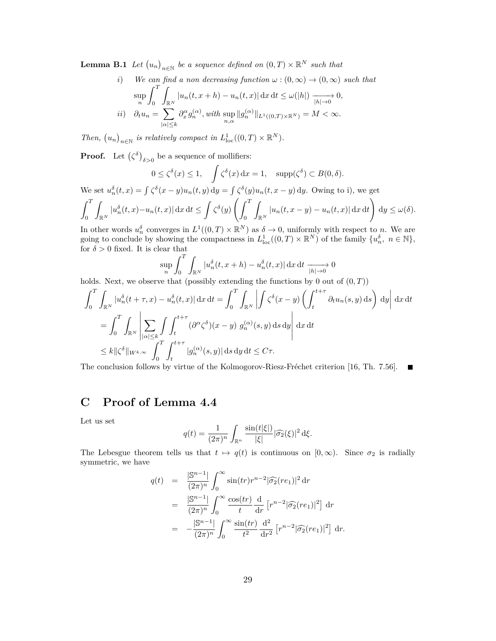**Lemma B.1** *Let*  $(u_n)_{n \in \mathbb{N}}$  *be a sequence defined on*  $(0, T) \times \mathbb{R}^N$  *such that* 

*i*) *We can find a non decreasing function*  $\omega : (0, \infty) \to (0, \infty)$  *such that* sup *n*  $\int_0^T$ 0 Z  $\int_{\mathbb{R}^N} |u_n(t, x+h) - u_n(t, x)| \,dx \,dt \leq \omega(|h|) \xrightarrow|h| \to 0} 0,$ *ii*)  $\partial_t u_n = ∑$ |*α*|≤*k*  $\partial_x^{\alpha} g_n^{(\alpha)}$ , with  $\sup_{n,\alpha} \|g_n^{(\alpha)}\|_{L^1((0,T)\times \mathbb{R}^N)} = M < \infty$ .

*Then,*  $(u_n)_{n \in \mathbb{N}}$  *is relatively compact in*  $L^1_{loc}((0,T) \times \mathbb{R}^N)$ *.* 

**Proof.** Let  $(\zeta^{\delta})_{\delta>0}$  be a sequence of mollifiers:

$$
0 \le \zeta^{\delta}(x) \le 1, \quad \int \zeta^{\delta}(x) dx = 1, \quad \text{supp}(\zeta^{\delta}) \subset B(0, \delta).
$$

We set  $u_n^{\delta}(t, x) = \int \zeta^{\delta}(x - y)u_n(t, y) dy = \int \zeta^{\delta}(y)u_n(t, x - y) dy$ . Owing to i), we get  $\int_{0}^{T} \int_{-\infty}^{\infty} \left| \omega^{\delta}(t,x) - \omega^{\delta}(t,x) \right| dx dt < \int_{0}^{T} \int_{0}^{T} \int_{-\infty}^{\infty} \left| \omega^{\delta}(t,x) - \omega^{\delta}(t,x) \right| dx dt$ 

$$
\int_0^{\infty} \int_{\mathbb{R}^N} |u_n^{\delta}(t, x) - u_n(t, x)| \, \mathrm{d}x \, \mathrm{d}t \le \int \zeta^{\delta}(y) \left( \int_0^{\infty} \int_{\mathbb{R}^N} |u_n(t, x - y) - u_n(t, x)| \, \mathrm{d}x \, \mathrm{d}t \right) \, \mathrm{d}y \le \omega(\delta).
$$

In other words  $u_n^{\delta}$  converges in  $L^1((0,T) \times \mathbb{R}^N)$  as  $\delta \to 0$ , uniformly with respect to *n*. We are going to conclude by showing the compactness in  $L^1_{loc}((0,T)\times \mathbb{R}^N)$  of the family  $\{u_n^{\delta}, n \in \mathbb{N}\},\$ for  $\delta > 0$  fixed. It is clear that

$$
\sup_{n}\int_{0}^{T}\int_{\mathbb{R}^{N}}|u_{n}^{\delta}(t,x+h)-u_{n}^{\delta}(t,x)|\,\mathrm{d}x\,\mathrm{d}t \xrightarrow[h\to 0]{} 0
$$

holds. Next, we observe that (possibly extending the functions by 0 out of  $(0,T)$ )

$$
\int_0^T \int_{\mathbb{R}^N} |u_n^{\delta}(t+\tau, x) - u_n^{\delta}(t, x)| \, dx \, dt = \int_0^T \int_{\mathbb{R}^N} \left| \int \zeta^{\delta}(x-y) \left( \int_t^{t+\tau} \partial_t u_n(s, y) \, ds \right) \, dy \right| \, dx \, dt
$$

$$
= \int_0^T \int_{\mathbb{R}^N} \left| \sum_{|\alpha| \le k} \int \int_t^{t+\tau} (\partial^\alpha \zeta^{\delta})(x-y) \, g_n^{(\alpha)}(s, y) \, ds \, dy \right| \, dx \, dt
$$

$$
\le k \|\zeta^{\delta}\|_{W^{k,\infty}} \int_0^T \int_t^{t+\tau} |g_n^{(\alpha)}(s, y)| \, ds \, dy \, dt \le C\tau.
$$

The conclusion follows by virtue of the Kolmogorov-Riesz-Fréchet criterion [16, Th. 7.56].  $\blacksquare$ 

# **C Proof of Lemma 4.4**

Let us set

$$
q(t) = \frac{1}{(2\pi)^n} \int_{\mathbb{R}^n} \frac{\sin(t|\xi|)}{|\xi|} |\widehat{\sigma_2}(\xi)|^2 d\xi.
$$

The Lebesgue theorem tells us that  $t \mapsto q(t)$  is continuous on  $[0, \infty)$ . Since  $\sigma_2$  is radially symmetric, we have

$$
q(t) = \frac{|\mathbb{S}^{n-1}|}{(2\pi)^n} \int_0^\infty \sin(tr) r^{n-2} |\widehat{\sigma_2}(re_1)|^2 dr
$$
  
\n
$$
= \frac{|\mathbb{S}^{n-1}|}{(2\pi)^n} \int_0^\infty \frac{\cos(tr)}{t} \frac{d}{dr} [r^{n-2} |\widehat{\sigma_2}(re_1)|^2] dr
$$
  
\n
$$
= -\frac{|\mathbb{S}^{n-1}|}{(2\pi)^n} \int_0^\infty \frac{\sin(tr)}{t^2} \frac{d^2}{dr^2} [r^{n-2} |\widehat{\sigma_2}(re_1)|^2] dr.
$$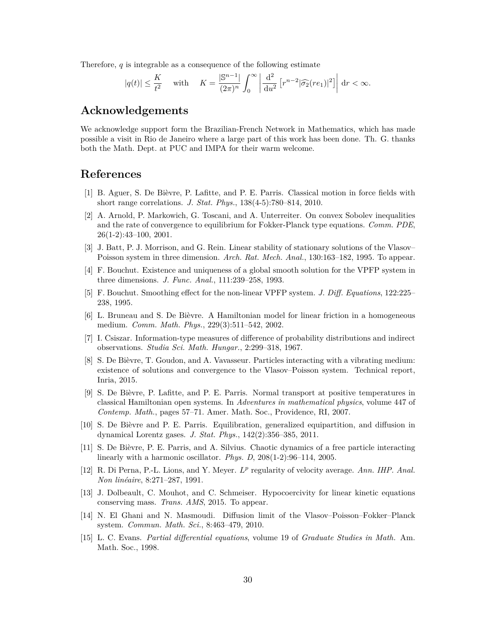Therefore, *q* is integrable as a consequence of the following estimate

$$
|q(t)| \leq \frac{K}{t^2} \quad \text{ with } \quad K = \frac{|\mathbb{S}^{n-1}|}{(2\pi)^n} \int_0^\infty \left| \frac{d^2}{du^2} \left[ r^{n-2} |\widehat{\sigma_2}(re_1)|^2 \right] \right| dr < \infty.
$$

## **Acknowledgements**

We acknowledge support form the Brazilian-French Network in Mathematics, which has made possible a visit in Rio de Janeiro where a large part of this work has been done. Th. G. thanks both the Math. Dept. at PUC and IMPA for their warm welcome.

### **References**

- [1] B. Aguer, S. De Bièvre, P. Lafitte, and P. E. Parris. Classical motion in force fields with short range correlations. *J. Stat. Phys.*, 138(4-5):780–814, 2010.
- [2] A. Arnold, P. Markowich, G. Toscani, and A. Unterreiter. On convex Sobolev inequalities and the rate of convergence to equilibrium for Fokker-Planck type equations. *Comm. PDE*, 26(1-2):43–100, 2001.
- [3] J. Batt, P. J. Morrison, and G. Rein. Linear stability of stationary solutions of the Vlasov– Poisson system in three dimension. *Arch. Rat. Mech. Anal.*, 130:163–182, 1995. To appear.
- [4] F. Bouchut. Existence and uniqueness of a global smooth solution for the VPFP system in three dimensions. *J. Func. Anal.*, 111:239–258, 1993.
- [5] F. Bouchut. Smoothing effect for the non-linear VPFP system. *J. Diff. Equations*, 122:225– 238, 1995.
- [6] L. Bruneau and S. De Bièvre. A Hamiltonian model for linear friction in a homogeneous medium. *Comm. Math. Phys.*, 229(3):511–542, 2002.
- [7] I. Csiszar. Information-type measures of difference of probability distributions and indirect observations. *Studia Sci. Math. Hungar.*, 2:299–318, 1967.
- [8] S. De Bièvre, T. Goudon, and A. Vavasseur. Particles interacting with a vibrating medium: existence of solutions and convergence to the Vlasov–Poisson system. Technical report, Inria, 2015.
- [9] S. De Bièvre, P. Lafitte, and P. E. Parris. Normal transport at positive temperatures in classical Hamiltonian open systems. In *Adventures in mathematical physics*, volume 447 of *Contemp. Math.*, pages 57–71. Amer. Math. Soc., Providence, RI, 2007.
- [10] S. De Bièvre and P. E. Parris. Equilibration, generalized equipartition, and diffusion in dynamical Lorentz gases. *J. Stat. Phys.*, 142(2):356–385, 2011.
- [11] S. De Bièvre, P. E. Parris, and A. Silvius. Chaotic dynamics of a free particle interacting linearly with a harmonic oscillator. *Phys. D*, 208(1-2):96–114, 2005.
- [12] R. Di Perna, P.-L. Lions, and Y. Meyer.  $L^p$  regularity of velocity average. Ann. IHP. Anal. *Non linéaire*, 8:271–287, 1991.
- [13] J. Dolbeault, C. Mouhot, and C. Schmeiser. Hypocoercivity for linear kinetic equations conserving mass. *Trans. AMS*, 2015. To appear.
- [14] N. El Ghani and N. Masmoudi. Diffusion limit of the Vlasov–Poisson–Fokker–Planck system. *Commun. Math. Sci.*, 8:463–479, 2010.
- [15] L. C. Evans. *Partial differential equations*, volume 19 of *Graduate Studies in Math.* Am. Math. Soc., 1998.